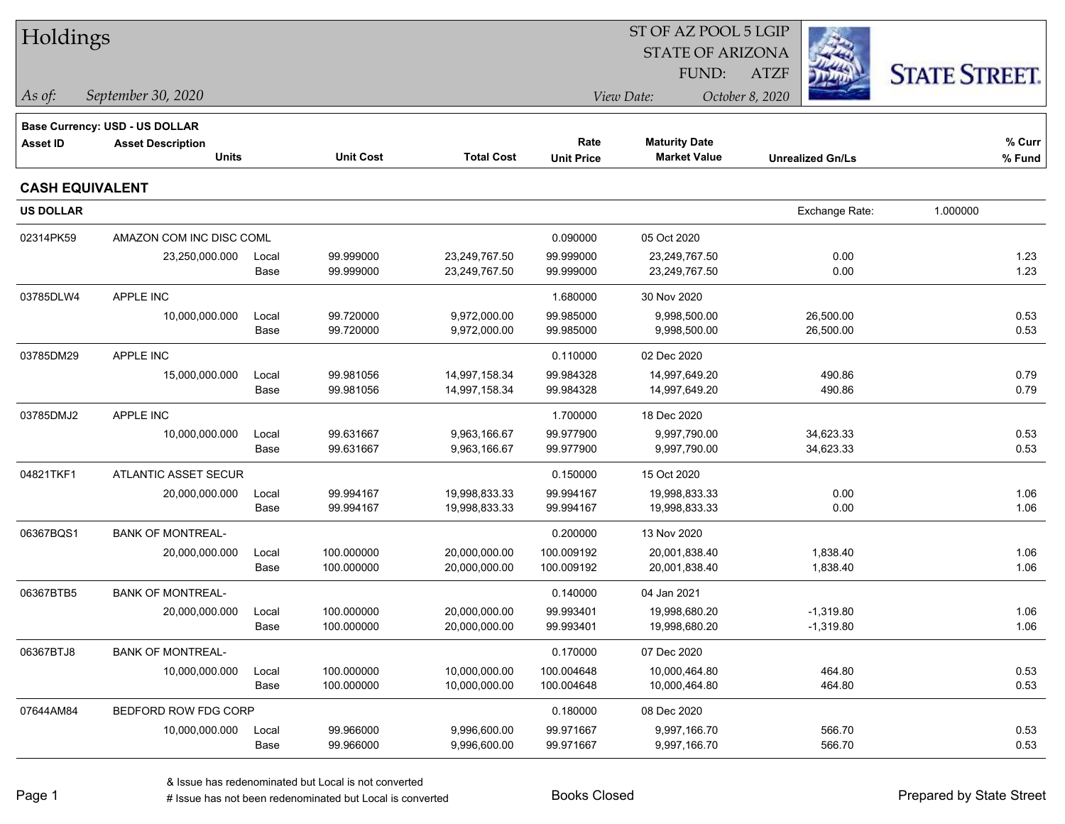| Holdings               |                                |       |                  |                   | ST OF AZ POOL 5 LGIP |                         |                         |                      |  |  |
|------------------------|--------------------------------|-------|------------------|-------------------|----------------------|-------------------------|-------------------------|----------------------|--|--|
|                        |                                |       |                  |                   |                      | <b>STATE OF ARIZONA</b> |                         |                      |  |  |
|                        |                                |       |                  |                   |                      | FUND:                   | <b>ATZF</b>             | <b>STATE STREET.</b> |  |  |
| As of:                 | September 30, 2020             |       |                  |                   |                      | View Date:              | October 8, 2020         |                      |  |  |
|                        | Base Currency: USD - US DOLLAR |       |                  |                   |                      |                         |                         |                      |  |  |
| <b>Asset ID</b>        | <b>Asset Description</b>       |       |                  |                   | Rate                 | <b>Maturity Date</b>    |                         | % Curr               |  |  |
|                        | <b>Units</b>                   |       | <b>Unit Cost</b> | <b>Total Cost</b> | <b>Unit Price</b>    | <b>Market Value</b>     | <b>Unrealized Gn/Ls</b> | % Fund               |  |  |
| <b>CASH EQUIVALENT</b> |                                |       |                  |                   |                      |                         |                         |                      |  |  |
| <b>US DOLLAR</b>       |                                |       |                  |                   |                      |                         | Exchange Rate:          | 1.000000             |  |  |
| 02314PK59              | AMAZON COM INC DISC COML       |       |                  |                   | 0.090000             | 05 Oct 2020             |                         |                      |  |  |
|                        | 23,250,000.000                 | Local | 99.999000        | 23,249,767.50     | 99.999000            | 23,249,767.50           | 0.00                    | 1.23                 |  |  |
|                        |                                | Base  | 99.999000        | 23,249,767.50     | 99.999000            | 23,249,767.50           | 0.00                    | 1.23                 |  |  |
| 03785DLW4              | <b>APPLE INC</b>               |       |                  |                   | 1.680000             | 30 Nov 2020             |                         |                      |  |  |
|                        | 10,000,000.000                 | Local | 99.720000        | 9,972,000.00      | 99.985000            | 9,998,500.00            | 26,500.00               | 0.53                 |  |  |
|                        |                                | Base  | 99.720000        | 9,972,000.00      | 99.985000            | 9,998,500.00            | 26,500.00               | 0.53                 |  |  |
| 03785DM29              | <b>APPLE INC</b>               |       |                  |                   | 0.110000             | 02 Dec 2020             |                         |                      |  |  |
|                        | 15,000,000.000                 | Local | 99.981056        | 14,997,158.34     | 99.984328            | 14,997,649.20           | 490.86                  | 0.79                 |  |  |
|                        |                                | Base  | 99.981056        | 14,997,158.34     | 99.984328            | 14,997,649.20           | 490.86                  | 0.79                 |  |  |
| 03785DMJ2              | <b>APPLE INC</b>               |       |                  |                   | 1.700000             | 18 Dec 2020             |                         |                      |  |  |
|                        | 10,000,000.000                 | Local | 99.631667        | 9,963,166.67      | 99.977900            | 9,997,790.00            | 34,623.33               | 0.53                 |  |  |
|                        |                                | Base  | 99.631667        | 9,963,166.67      | 99.977900            | 9,997,790.00            | 34,623.33               | 0.53                 |  |  |
| 04821TKF1              | <b>ATLANTIC ASSET SECUR</b>    |       |                  |                   | 0.150000             | 15 Oct 2020             |                         |                      |  |  |
|                        | 20,000,000.000                 | Local | 99.994167        | 19,998,833.33     | 99.994167            | 19,998,833.33           | 0.00                    | 1.06                 |  |  |
|                        |                                | Base  | 99.994167        | 19,998,833.33     | 99.994167            | 19,998,833.33           | 0.00                    | 1.06                 |  |  |
| 06367BQS1              | <b>BANK OF MONTREAL-</b>       |       |                  |                   | 0.200000             | 13 Nov 2020             |                         |                      |  |  |
|                        | 20,000,000.000                 | Local | 100.000000       | 20,000,000.00     | 100.009192           | 20,001,838.40           | 1,838.40                | 1.06                 |  |  |
|                        |                                | Base  | 100.000000       | 20,000,000.00     | 100.009192           | 20,001,838.40           | 1,838.40                | 1.06                 |  |  |
| 06367BTB5              | <b>BANK OF MONTREAL-</b>       |       |                  |                   | 0.140000             | 04 Jan 2021             |                         |                      |  |  |
|                        | 20,000,000.000                 | Local | 100.000000       | 20,000,000.00     | 99.993401            | 19,998,680.20           | $-1,319.80$             | 1.06                 |  |  |
|                        |                                | Base  | 100.000000       | 20,000,000.00     | 99.993401            | 19,998,680.20           | $-1,319.80$             | 1.06                 |  |  |
| 06367BTJ8              | <b>BANK OF MONTREAL-</b>       |       |                  |                   | 0.170000             | 07 Dec 2020             |                         |                      |  |  |
|                        | 10,000,000.000                 | Local | 100.000000       | 10,000,000.00     | 100.004648           | 10,000,464.80           | 464.80                  | 0.53                 |  |  |
|                        |                                | Base  | 100.000000       | 10,000,000.00     | 100.004648           | 10,000,464.80           | 464.80                  | 0.53                 |  |  |
| 07644AM84              | BEDFORD ROW FDG CORP           |       |                  |                   | 0.180000             | 08 Dec 2020             |                         |                      |  |  |
|                        | 10,000,000.000                 | Local | 99.966000        | 9,996,600.00      | 99.971667            | 9,997,166.70            | 566.70                  | 0.53                 |  |  |
|                        |                                | Base  | 99.966000        | 9,996,600.00      | 99.971667            | 9,997,166.70            | 566.70                  | 0.53                 |  |  |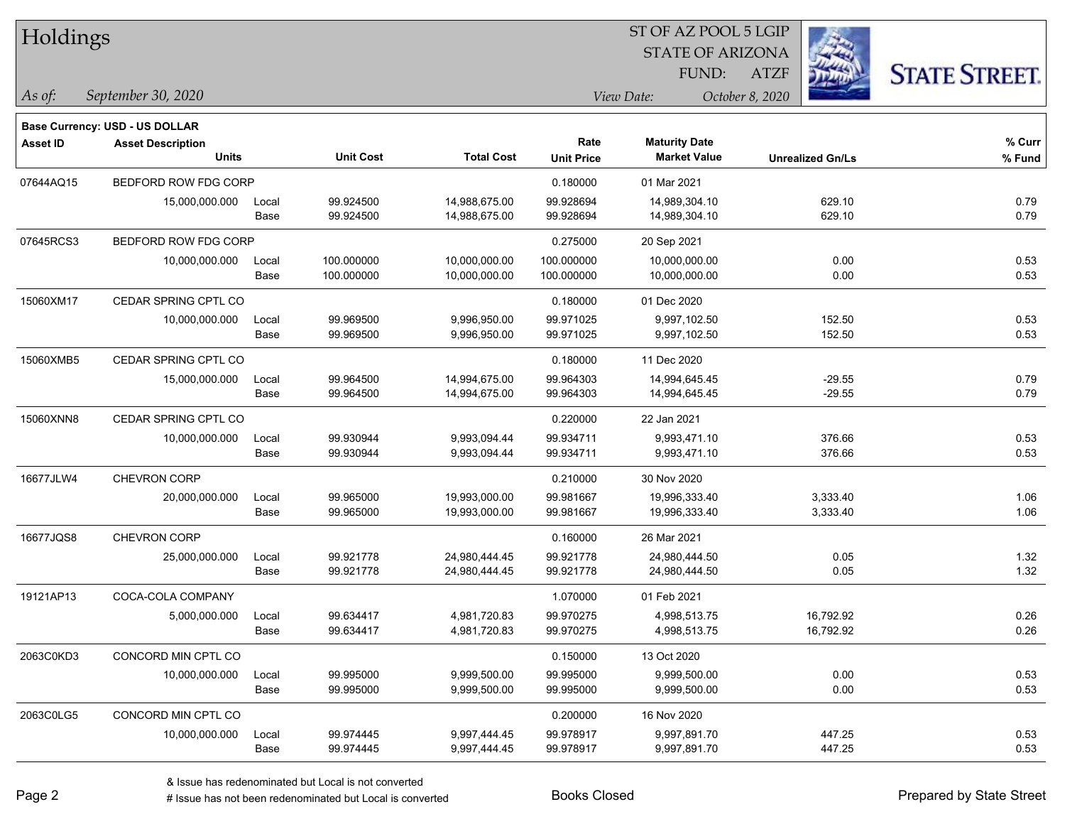| Holdings        |                                          |               |                          |                                |                           | ST OF AZ POOL 5 LGIP                        |                         |                              |
|-----------------|------------------------------------------|---------------|--------------------------|--------------------------------|---------------------------|---------------------------------------------|-------------------------|------------------------------|
|                 |                                          |               |                          |                                |                           | <b>STATE OF ARIZONA</b>                     |                         |                              |
|                 |                                          |               |                          |                                |                           | FUND:                                       | <b>ATZF</b>             | <b>STATE STREET.</b>         |
| As of:          | September 30, 2020                       |               |                          |                                |                           | View Date:                                  | October 8, 2020         |                              |
|                 | <b>Base Currency: USD - US DOLLAR</b>    |               |                          |                                |                           |                                             |                         |                              |
| <b>Asset ID</b> | <b>Asset Description</b><br><b>Units</b> |               | <b>Unit Cost</b>         | <b>Total Cost</b>              | Rate<br><b>Unit Price</b> | <b>Maturity Date</b><br><b>Market Value</b> | <b>Unrealized Gn/Ls</b> | % Curr<br>% Fund             |
| 07644AQ15       | BEDFORD ROW FDG CORP                     |               |                          |                                | 0.180000                  | 01 Mar 2021                                 |                         |                              |
|                 | 15,000,000.000                           | Local<br>Base | 99.924500<br>99.924500   | 14,988,675.00<br>14,988,675.00 | 99.928694<br>99.928694    | 14,989,304.10<br>14,989,304.10              | 629.10<br>629.10        | 0.79<br>0.79                 |
| 07645RCS3       | BEDFORD ROW FDG CORP                     |               |                          |                                | 0.275000                  | 20 Sep 2021                                 |                         |                              |
|                 | 10,000,000.000                           | Local<br>Base | 100.000000<br>100.000000 | 10,000,000.00<br>10,000,000.00 | 100.000000<br>100.000000  | 10,000,000.00<br>10,000,000.00              |                         | 0.00<br>0.53<br>0.53<br>0.00 |
| 15060XM17       | CEDAR SPRING CPTL CO                     |               |                          |                                | 0.180000                  | 01 Dec 2020                                 |                         |                              |
|                 | 10,000,000.000                           | Local<br>Base | 99.969500<br>99.969500   | 9,996,950.00<br>9,996,950.00   | 99.971025<br>99.971025    | 9,997,102.50<br>9,997,102.50                | 152.50<br>152.50        | 0.53<br>0.53                 |
| 15060XMB5       | CEDAR SPRING CPTL CO                     |               |                          |                                | 0.180000                  | 11 Dec 2020                                 |                         |                              |
|                 | 15,000,000.000                           | Local<br>Base | 99.964500<br>99.964500   | 14,994,675.00<br>14,994,675.00 | 99.964303<br>99.964303    | 14,994,645.45<br>14,994,645.45              | $-29.55$<br>$-29.55$    | 0.79<br>0.79                 |
| 15060XNN8       | CEDAR SPRING CPTL CO                     |               |                          |                                | 0.220000                  | 22 Jan 2021                                 |                         |                              |
|                 | 10,000,000.000                           | Local<br>Base | 99.930944<br>99.930944   | 9,993,094.44<br>9,993,094.44   | 99.934711<br>99.934711    | 9,993,471.10<br>9,993,471.10                | 376.66<br>376.66        | 0.53<br>0.53                 |
| 16677JLW4       | CHEVRON CORP                             |               |                          |                                | 0.210000                  | 30 Nov 2020                                 |                         |                              |
|                 | 20,000,000.000                           | Local<br>Base | 99.965000<br>99.965000   | 19,993,000.00<br>19,993,000.00 | 99.981667<br>99.981667    | 19,996,333.40<br>19,996,333.40              | 3,333.40<br>3,333.40    | 1.06<br>1.06                 |
| 16677JQS8       | <b>CHEVRON CORP</b>                      |               |                          |                                | 0.160000                  | 26 Mar 2021                                 |                         |                              |
|                 | 25,000,000.000                           | Local<br>Base | 99.921778<br>99.921778   | 24,980,444.45<br>24,980,444.45 | 99.921778<br>99.921778    | 24,980,444.50<br>24,980,444.50              |                         | 0.05<br>1.32<br>1.32<br>0.05 |
| 19121AP13       | COCA-COLA COMPANY                        |               |                          |                                | 1.070000                  | 01 Feb 2021                                 |                         |                              |
|                 | 5,000,000.000                            | Local<br>Base | 99.634417<br>99.634417   | 4,981,720.83<br>4,981,720.83   | 99.970275<br>99.970275    | 4,998,513.75<br>4,998,513.75                | 16,792.92<br>16,792.92  | 0.26<br>0.26                 |
| 2063C0KD3       | CONCORD MIN CPTL CO                      |               |                          |                                | 0.150000                  | 13 Oct 2020                                 |                         |                              |
|                 | 10,000,000.000                           | Local<br>Base | 99.995000<br>99.995000   | 9,999,500.00<br>9,999,500.00   | 99.995000<br>99.995000    | 9,999,500.00<br>9,999,500.00                |                         | 0.00<br>0.53<br>0.00<br>0.53 |
| 2063C0LG5       | CONCORD MIN CPTL CO                      |               |                          |                                | 0.200000                  | 16 Nov 2020                                 |                         |                              |
|                 | 10,000,000.000                           | Local         | 99.974445                | 9,997,444.45                   | 99.978917                 | 9,997,891.70                                | 447.25                  | 0.53                         |

Base 99.974445 9,997,444.45 99.978917 9,997,891.70 447.25 0.53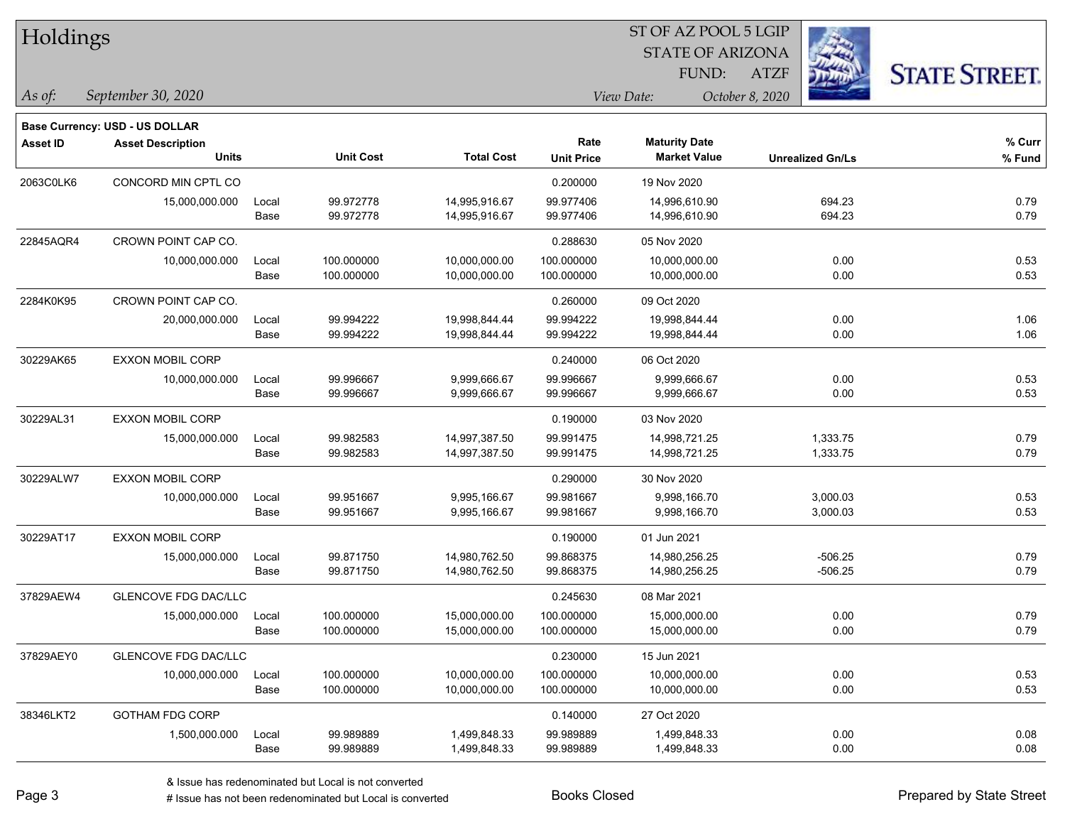| Holdings        |                                          |                      |                          |                                |                           | ST OF AZ POOL 5 LGIP                        |                         |                      |  |
|-----------------|------------------------------------------|----------------------|--------------------------|--------------------------------|---------------------------|---------------------------------------------|-------------------------|----------------------|--|
|                 |                                          |                      |                          |                                |                           | <b>STATE OF ARIZONA</b>                     |                         |                      |  |
|                 |                                          |                      |                          |                                |                           | FUND:                                       | <b>ATZF</b>             | <b>STATE STREET.</b> |  |
| As of:          | September 30, 2020                       |                      |                          |                                |                           | View Date:                                  | October 8, 2020         |                      |  |
|                 | <b>Base Currency: USD - US DOLLAR</b>    |                      |                          |                                |                           |                                             |                         |                      |  |
| <b>Asset ID</b> | <b>Asset Description</b><br><b>Units</b> |                      | <b>Unit Cost</b>         | <b>Total Cost</b>              | Rate<br><b>Unit Price</b> | <b>Maturity Date</b><br><b>Market Value</b> | <b>Unrealized Gn/Ls</b> | % Curr<br>% Fund     |  |
| 2063C0LK6       | CONCORD MIN CPTL CO                      |                      |                          |                                | 0.200000                  | 19 Nov 2020                                 |                         |                      |  |
|                 | 15,000,000.000                           | Local<br>Base        | 99.972778<br>99.972778   | 14,995,916.67<br>14,995,916.67 | 99.977406<br>99.977406    | 14,996,610.90<br>14,996,610.90              | 694.23<br>694.23        | 0.79<br>0.79         |  |
| 22845AQR4       | CROWN POINT CAP CO.                      |                      |                          |                                | 0.288630                  | 05 Nov 2020                                 |                         |                      |  |
|                 | 10,000,000.000                           | Local<br>Base        | 100.000000<br>100.000000 | 10,000,000.00<br>10,000,000.00 | 100.000000<br>100.000000  | 10,000,000.00<br>10,000,000.00              | 0.00<br>0.00            | 0.53<br>0.53         |  |
| 2284K0K95       | CROWN POINT CAP CO.                      |                      |                          |                                | 0.260000                  | 09 Oct 2020                                 |                         |                      |  |
|                 | 20,000,000.000                           | Local<br>Base        | 99.994222<br>99.994222   | 19,998,844.44<br>19,998,844.44 | 99.994222<br>99.994222    | 19,998,844.44<br>19,998,844.44              | 0.00<br>0.00            | 1.06<br>1.06         |  |
| 30229AK65       | EXXON MOBIL CORP                         |                      |                          |                                | 0.240000                  | 06 Oct 2020                                 |                         |                      |  |
|                 | 10,000,000.000                           | Local<br><b>Base</b> | 99.996667<br>99.996667   | 9,999,666.67<br>9,999,666.67   | 99.996667<br>99.996667    | 9,999,666.67<br>9,999,666.67                | 0.00<br>0.00            | 0.53<br>0.53         |  |
| 30229AL31       | <b>EXXON MOBIL CORP</b>                  |                      |                          |                                | 0.190000                  | 03 Nov 2020                                 |                         |                      |  |
|                 | 15,000,000.000                           | Local<br>Base        | 99.982583<br>99.982583   | 14,997,387.50<br>14,997,387.50 | 99.991475<br>99.991475    | 14,998,721.25<br>14,998,721.25              | 1,333.75<br>1,333.75    | 0.79<br>0.79         |  |
| 30229ALW7       | <b>EXXON MOBIL CORP</b>                  |                      |                          |                                | 0.290000                  | 30 Nov 2020                                 |                         |                      |  |
|                 | 10,000,000.000                           | Local<br>Base        | 99.951667<br>99.951667   | 9,995,166.67<br>9,995,166.67   | 99.981667<br>99.981667    | 9,998,166.70<br>9,998,166.70                | 3,000.03<br>3,000.03    | 0.53<br>0.53         |  |
| 30229AT17       | <b>EXXON MOBIL CORP</b>                  |                      |                          |                                | 0.190000                  | 01 Jun 2021                                 |                         |                      |  |
|                 | 15,000,000.000                           | Local<br>Base        | 99.871750<br>99.871750   | 14,980,762.50<br>14,980,762.50 | 99.868375<br>99.868375    | 14,980,256.25<br>14,980,256.25              | $-506.25$<br>$-506.25$  | 0.79<br>0.79         |  |
| 37829AEW4       | <b>GLENCOVE FDG DAC/LLC</b>              |                      |                          |                                | 0.245630                  | 08 Mar 2021                                 |                         |                      |  |
|                 | 15,000,000.000                           | Local<br>Base        | 100.000000<br>100.000000 | 15,000,000.00<br>15,000,000.00 | 100.000000<br>100.000000  | 15,000,000.00<br>15,000,000.00              | 0.00<br>0.00            | 0.79<br>0.79         |  |
| 37829AEY0       | <b>GLENCOVE FDG DAC/LLC</b>              |                      |                          |                                | 0.230000                  | 15 Jun 2021                                 |                         |                      |  |
|                 | 10,000,000.000                           | Local<br><b>Base</b> | 100.000000<br>100.000000 | 10,000,000.00<br>10,000,000.00 | 100.000000<br>100.000000  | 10,000,000.00<br>10,000,000.00              | 0.00<br>0.00            | 0.53<br>0.53         |  |
| 38346LKT2       | <b>GOTHAM FDG CORP</b>                   |                      |                          |                                | 0.140000                  | 27 Oct 2020                                 |                         |                      |  |

 $\overline{\phantom{0}}$ 

1,500,000.000 Local 99.989889 1,499,848.33 99.989889 1,499,848.33 0.00 0.08

Base 99.989889 1,499,848.33 99.989889 1,499,848.33 0.00 0.08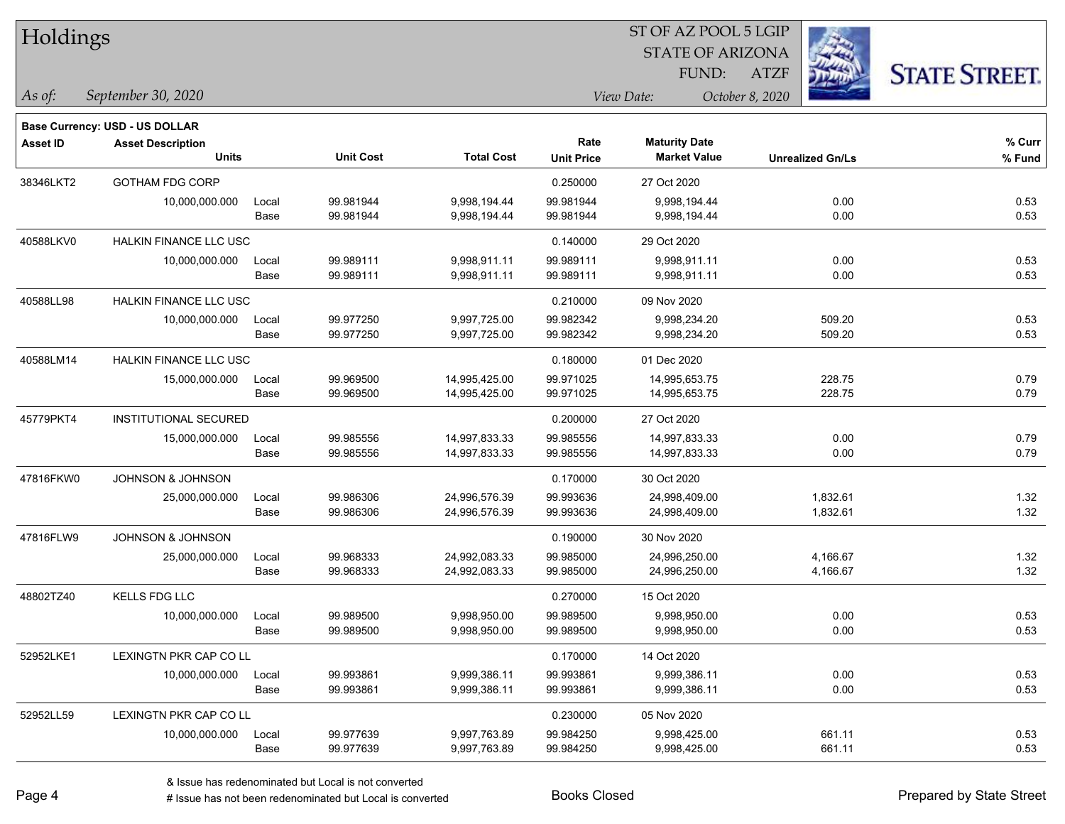| Holdings        |                                                            |       |                  |                   |                   | ST OF AZ POOL 5 LGIP    |                         |          |                      |
|-----------------|------------------------------------------------------------|-------|------------------|-------------------|-------------------|-------------------------|-------------------------|----------|----------------------|
|                 |                                                            |       |                  |                   |                   | <b>STATE OF ARIZONA</b> |                         |          |                      |
|                 |                                                            |       |                  |                   |                   | FUND:                   | ATZF                    |          | <b>STATE STREET.</b> |
| $\vert$ As of:  | September 30, 2020                                         |       |                  |                   |                   | View Date:              | October 8, 2020         |          |                      |
|                 |                                                            |       |                  |                   |                   |                         |                         |          |                      |
| <b>Asset ID</b> | Base Currency: USD - US DOLLAR<br><b>Asset Description</b> |       |                  |                   | Rate              | <b>Maturity Date</b>    |                         |          | % Curr               |
|                 | <b>Units</b>                                               |       | <b>Unit Cost</b> | <b>Total Cost</b> | <b>Unit Price</b> | <b>Market Value</b>     | <b>Unrealized Gn/Ls</b> |          | % Fund               |
| 38346LKT2       | <b>GOTHAM FDG CORP</b>                                     |       |                  |                   | 0.250000          | 27 Oct 2020             |                         |          |                      |
|                 | 10,000,000.000                                             | Local | 99.981944        | 9,998,194.44      | 99.981944         | 9,998,194.44            |                         | 0.00     | 0.53                 |
|                 |                                                            | Base  | 99.981944        | 9,998,194.44      | 99.981944         | 9,998,194.44            |                         | 0.00     | 0.53                 |
| 40588LKV0       | HALKIN FINANCE LLC USC                                     |       |                  |                   | 0.140000          | 29 Oct 2020             |                         |          |                      |
|                 | 10,000,000.000                                             | Local | 99.989111        | 9,998,911.11      | 99.989111         | 9,998,911.11            |                         | 0.00     | 0.53                 |
|                 |                                                            | Base  | 99.989111        | 9,998,911.11      | 99.989111         | 9,998,911.11            |                         | 0.00     | 0.53                 |
| 40588LL98       | HALKIN FINANCE LLC USC                                     |       |                  |                   | 0.210000          | 09 Nov 2020             |                         |          |                      |
|                 | 10,000,000.000                                             | Local | 99.977250        | 9,997,725.00      | 99.982342         | 9,998,234.20            |                         | 509.20   | 0.53                 |
|                 |                                                            | Base  | 99.977250        | 9,997,725.00      | 99.982342         | 9,998,234.20            |                         | 509.20   | 0.53                 |
| 40588LM14       | <b>HALKIN FINANCE LLC USC</b>                              |       |                  |                   | 0.180000          | 01 Dec 2020             |                         |          |                      |
|                 | 15,000,000.000                                             | Local | 99.969500        | 14,995,425.00     | 99.971025         | 14,995,653.75           |                         | 228.75   | 0.79                 |
|                 |                                                            | Base  | 99.969500        | 14,995,425.00     | 99.971025         | 14,995,653.75           |                         | 228.75   | 0.79                 |
| 45779PKT4       | <b>INSTITUTIONAL SECURED</b>                               |       |                  |                   | 0.200000          | 27 Oct 2020             |                         |          |                      |
|                 | 15,000,000.000                                             | Local | 99.985556        | 14,997,833.33     | 99.985556         | 14,997,833.33           |                         | 0.00     | 0.79                 |
|                 |                                                            | Base  | 99.985556        | 14,997,833.33     | 99.985556         | 14,997,833.33           |                         | 0.00     | 0.79                 |
| 47816FKW0       | JOHNSON & JOHNSON                                          |       |                  |                   | 0.170000          | 30 Oct 2020             |                         |          |                      |
|                 | 25,000,000.000                                             | Local | 99.986306        | 24,996,576.39     | 99.993636         | 24,998,409.00           |                         | 1,832.61 | 1.32                 |
|                 |                                                            | Base  | 99.986306        | 24,996,576.39     | 99.993636         | 24,998,409.00           |                         | 1,832.61 | 1.32                 |
| 47816FLW9       | <b>JOHNSON &amp; JOHNSON</b>                               |       |                  |                   | 0.190000          | 30 Nov 2020             |                         |          |                      |
|                 | 25,000,000.000                                             | Local | 99.968333        | 24,992,083.33     | 99.985000         | 24,996,250.00           |                         | 4,166.67 | 1.32                 |
|                 |                                                            | Base  | 99.968333        | 24,992,083.33     | 99.985000         | 24,996,250.00           |                         | 4,166.67 | 1.32                 |
| 48802TZ40       | <b>KELLS FDG LLC</b>                                       |       |                  |                   | 0.270000          | 15 Oct 2020             |                         |          |                      |
|                 | 10,000,000.000                                             | Local | 99.989500        | 9,998,950.00      | 99.989500         | 9,998,950.00            |                         | 0.00     | 0.53                 |
|                 |                                                            | Base  | 99.989500        | 9,998,950.00      | 99.989500         | 9,998,950.00            |                         | 0.00     | 0.53                 |
| 52952LKE1       | LEXINGTN PKR CAP CO LL                                     |       |                  |                   | 0.170000          | 14 Oct 2020             |                         |          |                      |
|                 | 10,000,000.000                                             | Local | 99.993861        | 9,999,386.11      | 99.993861         | 9,999,386.11            |                         | 0.00     | 0.53                 |
|                 |                                                            | Base  | 99.993861        | 9,999,386.11      | 99.993861         | 9,999,386.11            |                         | 0.00     | 0.53                 |
| 52952LL59       | LEXINGTN PKR CAP CO LL                                     |       |                  |                   | 0.230000          | 05 Nov 2020             |                         |          |                      |
|                 | 10,000,000.000                                             | Local | 99.977639        | 9,997,763.89      | 99.984250         | 9,998,425.00            |                         | 661.11   | 0.53                 |
|                 |                                                            | Base  | 99.977639        | 9,997,763.89      | 99.984250         | 9,998,425.00            |                         | 661.11   | 0.53                 |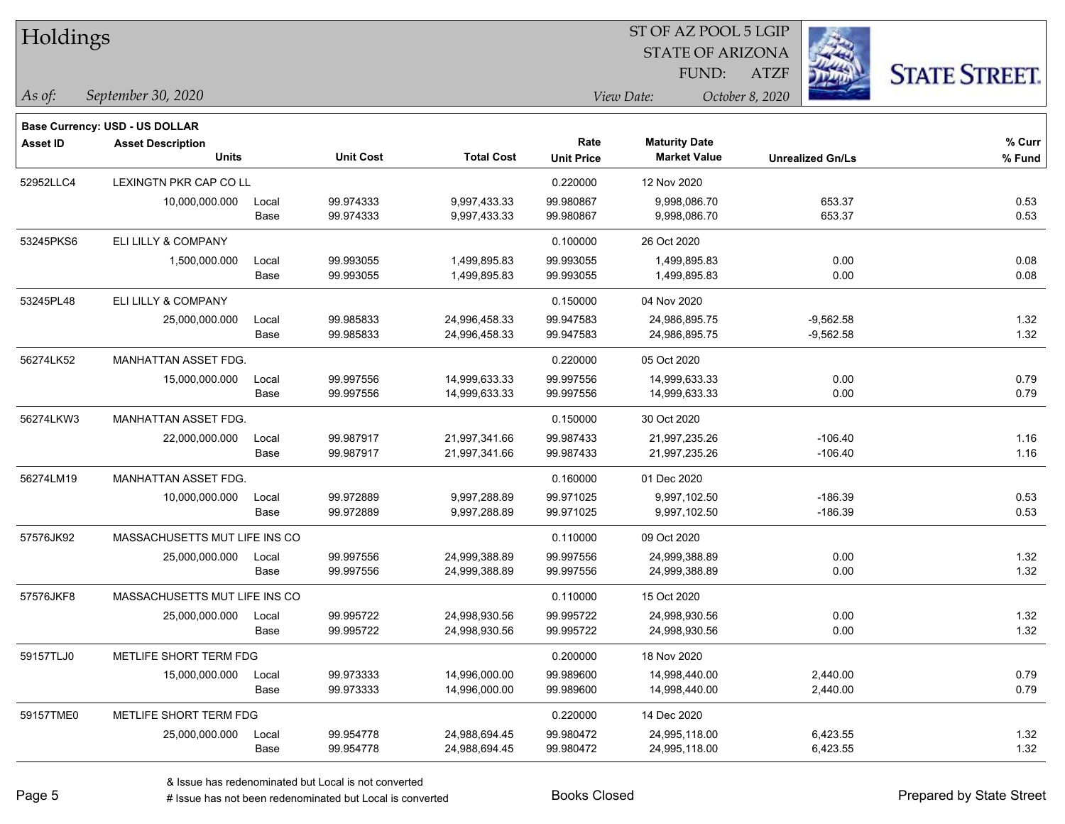| Holdings        |                                |       |                  |                   |                   | 51 OF AZ POOL 5 LGIP          |             |                         |                      |  |
|-----------------|--------------------------------|-------|------------------|-------------------|-------------------|-------------------------------|-------------|-------------------------|----------------------|--|
|                 |                                |       |                  |                   |                   | <b>STATE OF ARIZONA</b>       |             | in 1998.<br>Ngjarje     |                      |  |
|                 |                                |       |                  |                   |                   | FUND:                         | <b>ATZF</b> |                         | <b>STATE STREET.</b> |  |
| $ $ As of:      | September 30, 2020             |       |                  |                   |                   | View Date:<br>October 8, 2020 |             |                         |                      |  |
|                 | Base Currency: USD - US DOLLAR |       |                  |                   |                   |                               |             |                         |                      |  |
| <b>Asset ID</b> | <b>Asset Description</b>       |       |                  |                   | Rate              | <b>Maturity Date</b>          |             |                         | % Curr               |  |
|                 | <b>Units</b>                   |       | <b>Unit Cost</b> | <b>Total Cost</b> | <b>Unit Price</b> | <b>Market Value</b>           |             | <b>Unrealized Gn/Ls</b> | % Fund               |  |
| 52952LLC4       | LEXINGTN PKR CAP CO LL         |       |                  |                   | 0.220000          | 12 Nov 2020                   |             |                         |                      |  |
|                 | 10,000,000.000                 | Local | 99.974333        | 9,997,433.33      | 99.980867         | 9,998,086.70                  |             | 653.37                  | 0.53                 |  |
|                 |                                | Base  | 99.974333        | 9,997,433.33      | 99.980867         | 9,998,086.70                  |             | 653.37                  | 0.53                 |  |
| 53245PKS6       | ELI LILLY & COMPANY            |       |                  |                   | 0.100000          | 26 Oct 2020                   |             |                         |                      |  |
|                 | 1,500,000.000                  | Local | 99.993055        | 1,499,895.83      | 99.993055         | 1,499,895.83                  |             | 0.00                    | 0.08                 |  |
|                 |                                | Base  | 99.993055        | 1,499,895.83      | 99.993055         | 1,499,895.83                  |             | 0.00                    | 0.08                 |  |
| 53245PL48       | ELI LILLY & COMPANY            |       |                  |                   | 0.150000          | 04 Nov 2020                   |             |                         |                      |  |
|                 | 25,000,000.000                 | Local | 99.985833        | 24,996,458.33     | 99.947583         | 24,986,895.75                 |             | $-9,562.58$             | 1.32                 |  |
|                 |                                | Base  | 99.985833        | 24,996,458.33     | 99.947583         | 24,986,895.75                 |             | $-9,562.58$             | 1.32                 |  |
| 56274LK52       | MANHATTAN ASSET FDG.           |       |                  |                   | 0.220000          | 05 Oct 2020                   |             |                         |                      |  |
|                 | 15,000,000.000                 | Local | 99.997556        | 14,999,633.33     | 99.997556         | 14,999,633.33                 |             | 0.00                    | 0.79                 |  |
|                 |                                | Base  | 99.997556        | 14,999,633.33     | 99.997556         | 14,999,633.33                 |             | 0.00                    | 0.79                 |  |
| 56274LKW3       | <b>MANHATTAN ASSET FDG.</b>    |       |                  |                   | 0.150000          | 30 Oct 2020                   |             |                         |                      |  |
|                 | 22,000,000.000                 | Local | 99.987917        | 21,997,341.66     | 99.987433         | 21,997,235.26                 |             | $-106.40$               | 1.16                 |  |
|                 |                                | Base  | 99.987917        | 21,997,341.66     | 99.987433         | 21,997,235.26                 |             | $-106.40$               | 1.16                 |  |
| 56274LM19       | MANHATTAN ASSET FDG.           |       |                  |                   | 0.160000          | 01 Dec 2020                   |             |                         |                      |  |
|                 | 10,000,000.000                 | Local | 99.972889        | 9,997,288.89      | 99.971025         | 9,997,102.50                  |             | $-186.39$               | 0.53                 |  |
|                 |                                | Base  | 99.972889        | 9,997,288.89      | 99.971025         | 9,997,102.50                  |             | $-186.39$               | 0.53                 |  |
| 57576JK92       | MASSACHUSETTS MUT LIFE INS CO  |       |                  |                   | 0.110000          | 09 Oct 2020                   |             |                         |                      |  |
|                 | 25,000,000.000                 | Local | 99.997556        | 24,999,388.89     | 99.997556         | 24,999,388.89                 |             | 0.00                    | 1.32                 |  |
|                 |                                | Base  | 99.997556        | 24,999,388.89     | 99.997556         | 24,999,388.89                 |             | 0.00                    | 1.32                 |  |
| 57576JKF8       | MASSACHUSETTS MUT LIFE INS CO  |       |                  |                   | 0.110000          | 15 Oct 2020                   |             |                         |                      |  |
|                 | 25,000,000.000                 | Local | 99.995722        | 24,998,930.56     | 99.995722         | 24,998,930.56                 |             | 0.00                    | 1.32                 |  |
|                 |                                | Base  | 99.995722        | 24,998,930.56     | 99.995722         | 24,998,930.56                 |             | 0.00                    | 1.32                 |  |
| 59157TLJ0       | METLIFE SHORT TERM FDG         |       |                  |                   | 0.200000          | 18 Nov 2020                   |             |                         |                      |  |
|                 | 15,000,000.000                 | Local | 99.973333        | 14,996,000.00     | 99.989600         | 14,998,440.00                 |             | 2,440.00                | 0.79                 |  |
|                 |                                | Base  | 99.973333        | 14,996,000.00     | 99.989600         | 14,998,440.00                 |             | 2,440.00                | 0.79                 |  |
| 59157TME0       | METLIFE SHORT TERM FDG         |       |                  |                   | 0.220000          | 14 Dec 2020                   |             |                         |                      |  |
|                 | 25,000,000.000                 | Local | 99.954778        | 24,988,694.45     | 99.980472         | 24,995,118.00                 |             | 6,423.55                | 1.32                 |  |
|                 |                                | Base  | 99.954778        | 24,988,694.45     | 99.980472         | 24,995,118.00                 |             | 6,423.55                | 1.32                 |  |

 $ST$  OF AZ POOL 5 LGIP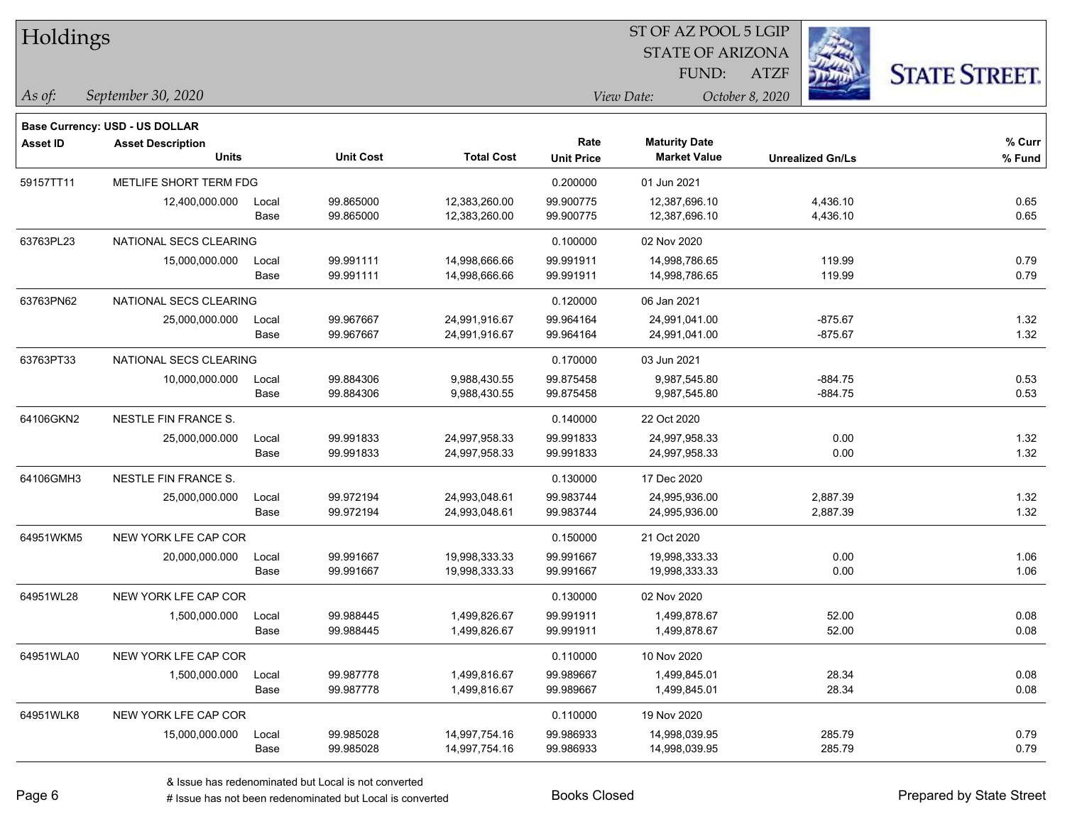| Holdings        |                                          |               |                        |                                |                           | ST OF AZ POOL 5 LGIP<br><b>STATE OF ARIZONA</b> |                         |                      |
|-----------------|------------------------------------------|---------------|------------------------|--------------------------------|---------------------------|-------------------------------------------------|-------------------------|----------------------|
|                 |                                          |               |                        |                                |                           | FUND:                                           | <b>ATZF</b>             | <b>STATE STREET.</b> |
| As of:          | September 30, 2020                       |               |                        |                                |                           | View Date:                                      | October 8, 2020         |                      |
|                 | Base Currency: USD - US DOLLAR           |               |                        |                                |                           |                                                 |                         |                      |
| <b>Asset ID</b> | <b>Asset Description</b><br><b>Units</b> |               | <b>Unit Cost</b>       | <b>Total Cost</b>              | Rate<br><b>Unit Price</b> | <b>Maturity Date</b><br><b>Market Value</b>     | <b>Unrealized Gn/Ls</b> | % Curr<br>% Fund     |
| 59157TT11       | METLIFE SHORT TERM FDG                   |               |                        |                                | 0.200000                  | 01 Jun 2021                                     |                         |                      |
|                 | 12,400,000.000                           | Local<br>Base | 99.865000<br>99.865000 | 12,383,260.00<br>12,383,260.00 | 99.900775<br>99.900775    | 12,387,696.10<br>12,387,696.10                  | 4,436.10<br>4,436.10    | 0.65<br>0.65         |
| 63763PL23       | NATIONAL SECS CLEARING                   |               |                        |                                | 0.100000                  | 02 Nov 2020                                     |                         |                      |
|                 | 15,000,000.000                           | Local<br>Base | 99.991111<br>99.991111 | 14,998,666.66<br>14,998,666.66 | 99.991911<br>99.991911    | 14,998,786.65<br>14,998,786.65                  | 119.99<br>119.99        | 0.79<br>0.79         |
| 63763PN62       | NATIONAL SECS CLEARING                   |               |                        |                                | 0.120000                  | 06 Jan 2021                                     |                         |                      |
|                 | 25,000,000.000                           | Local<br>Base | 99.967667<br>99.967667 | 24,991,916.67<br>24,991,916.67 | 99.964164<br>99.964164    | 24,991,041.00<br>24,991,041.00                  | $-875.67$<br>$-875.67$  | 1.32<br>1.32         |
| 63763PT33       | NATIONAL SECS CLEARING                   |               |                        |                                | 0.170000                  | 03 Jun 2021                                     |                         |                      |
|                 | 10,000,000.000                           | Local<br>Base | 99.884306<br>99.884306 | 9,988,430.55<br>9,988,430.55   | 99.875458<br>99.875458    | 9,987,545.80<br>9,987,545.80                    | $-884.75$<br>$-884.75$  | 0.53<br>0.53         |
| 64106GKN2       | NESTLE FIN FRANCE S.                     |               |                        |                                | 0.140000                  | 22 Oct 2020                                     |                         |                      |
|                 | 25,000,000.000                           | Local<br>Base | 99.991833<br>99.991833 | 24,997,958.33<br>24,997,958.33 | 99.991833<br>99.991833    | 24,997,958.33<br>24,997,958.33                  | 0.00<br>0.00            | 1.32<br>1.32         |
| 64106GMH3       | NESTLE FIN FRANCE S.                     |               |                        |                                | 0.130000                  | 17 Dec 2020                                     |                         |                      |
|                 | 25,000,000.000                           | Local<br>Base | 99.972194<br>99.972194 | 24,993,048.61<br>24,993,048.61 | 99.983744<br>99.983744    | 24,995,936.00<br>24,995,936.00                  | 2,887.39<br>2,887.39    | 1.32<br>1.32         |
| 64951WKM5       | NEW YORK LFE CAP COR                     |               |                        |                                | 0.150000                  | 21 Oct 2020                                     |                         |                      |
|                 | 20,000,000.000                           | Local<br>Base | 99.991667<br>99.991667 | 19,998,333.33<br>19,998,333.33 | 99.991667<br>99.991667    | 19,998,333.33<br>19,998,333.33                  | 0.00<br>0.00            | 1.06<br>1.06         |
| 64951WL28       | NEW YORK LFE CAP COR                     |               |                        |                                | 0.130000                  | 02 Nov 2020                                     |                         |                      |
|                 | 1,500,000.000                            | Local<br>Base | 99.988445<br>99.988445 | 1,499,826.67<br>1,499,826.67   | 99.991911<br>99.991911    | 1,499,878.67<br>1,499,878.67                    | 52.00<br>52.00          | 0.08<br>0.08         |
| 64951WLA0       | NEW YORK LFE CAP COR                     |               |                        |                                | 0.110000                  | 10 Nov 2020                                     |                         |                      |
|                 | 1,500,000.000                            | Local<br>Base | 99.987778<br>99.987778 | 1,499,816.67<br>1,499,816.67   | 99.989667<br>99.989667    | 1,499,845.01<br>1,499,845.01                    | 28.34<br>28.34          | 0.08<br>0.08         |
| 64951WLK8       | NEW YORK LFE CAP COR                     |               |                        |                                | 0.110000                  | 19 Nov 2020                                     |                         |                      |
|                 |                                          |               |                        |                                |                           |                                                 |                         |                      |

15,000,000.000 Local 99.985028 14,997,754.16 99.986933 14,998,039.95 285.79 0.79

Base 99.985028 14,997,754.16 99.986933 14,998,039.95 285.79 0.79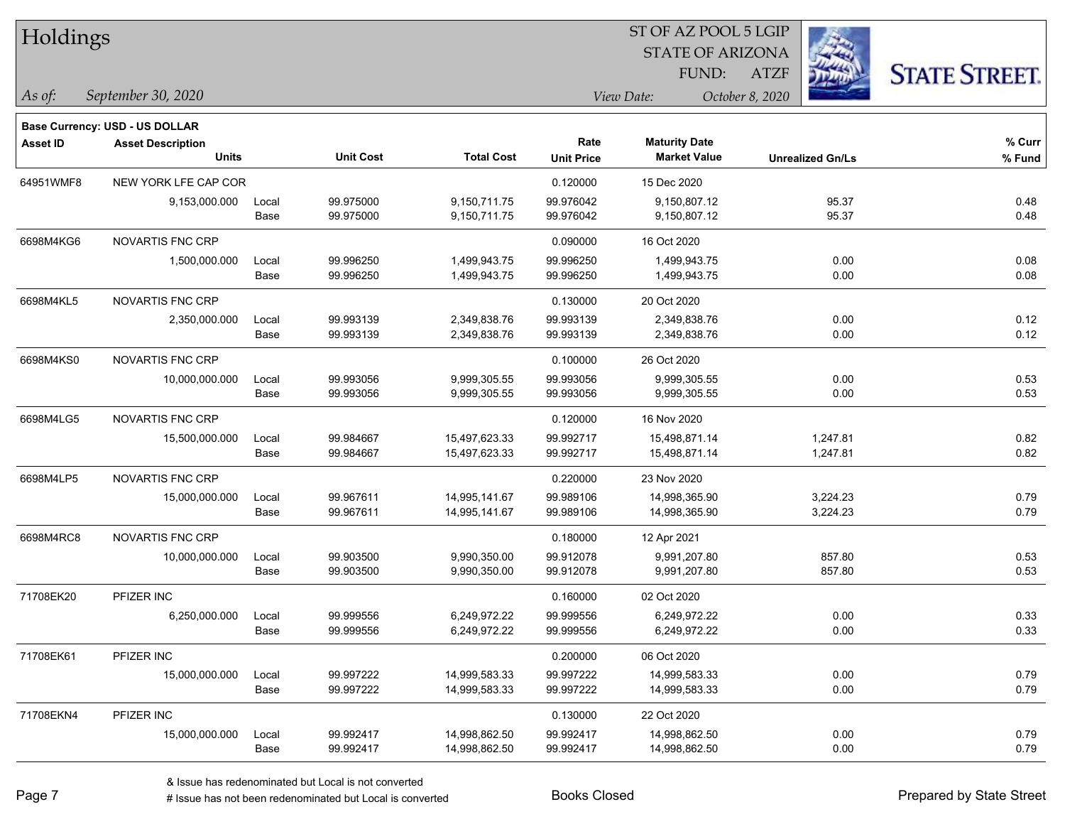| Holdings        |                                                                   |       |                  |                   | 51 OF AZ POOL 5 LGIP |                         |                         |                      |  |  |
|-----------------|-------------------------------------------------------------------|-------|------------------|-------------------|----------------------|-------------------------|-------------------------|----------------------|--|--|
|                 |                                                                   |       |                  |                   |                      | <b>STATE OF ARIZONA</b> |                         |                      |  |  |
|                 |                                                                   |       |                  |                   |                      | FUND:                   | <b>ATZF</b>             | <b>STATE STREET.</b> |  |  |
| As of:          | September 30, 2020                                                |       |                  |                   |                      | View Date:              | October 8, 2020         |                      |  |  |
|                 |                                                                   |       |                  |                   |                      |                         |                         |                      |  |  |
| <b>Asset ID</b> | <b>Base Currency: USD - US DOLLAR</b><br><b>Asset Description</b> |       |                  |                   | Rate                 | <b>Maturity Date</b>    |                         | % Curr               |  |  |
|                 | <b>Units</b>                                                      |       | <b>Unit Cost</b> | <b>Total Cost</b> | <b>Unit Price</b>    | <b>Market Value</b>     | <b>Unrealized Gn/Ls</b> | % Fund               |  |  |
| 64951WMF8       | NEW YORK LFE CAP COR                                              |       |                  |                   | 0.120000             | 15 Dec 2020             |                         |                      |  |  |
|                 | 9,153,000.000                                                     | Local | 99.975000        | 9,150,711.75      | 99.976042            | 9,150,807.12            | 95.37                   | 0.48                 |  |  |
|                 |                                                                   | Base  | 99.975000        | 9,150,711.75      | 99.976042            | 9,150,807.12            | 95.37                   | 0.48                 |  |  |
| 6698M4KG6       | <b>NOVARTIS FNC CRP</b>                                           |       |                  |                   | 0.090000             | 16 Oct 2020             |                         |                      |  |  |
|                 | 1,500,000.000                                                     | Local | 99.996250        | 1,499,943.75      | 99.996250            | 1,499,943.75            | 0.00                    | 0.08                 |  |  |
|                 |                                                                   | Base  | 99.996250        | 1,499,943.75      | 99.996250            | 1,499,943.75            | 0.00                    | 0.08                 |  |  |
| 6698M4KL5       | NOVARTIS FNC CRP                                                  |       |                  |                   | 0.130000             | 20 Oct 2020             |                         |                      |  |  |
|                 | 2,350,000.000                                                     | Local | 99.993139        | 2,349,838.76      | 99.993139            | 2,349,838.76            | 0.00                    | 0.12                 |  |  |
|                 |                                                                   | Base  | 99.993139        | 2,349,838.76      | 99.993139            | 2,349,838.76            | 0.00                    | 0.12                 |  |  |
| 6698M4KS0       | <b>NOVARTIS FNC CRP</b>                                           |       |                  |                   | 0.100000             | 26 Oct 2020             |                         |                      |  |  |
|                 | 10,000,000.000                                                    | Local | 99.993056        | 9,999,305.55      | 99.993056            | 9,999,305.55            | 0.00                    | 0.53                 |  |  |
|                 |                                                                   | Base  | 99.993056        | 9,999,305.55      | 99.993056            | 9,999,305.55            | 0.00                    | 0.53                 |  |  |
| 6698M4LG5       | <b>NOVARTIS FNC CRP</b>                                           |       |                  |                   | 0.120000             | 16 Nov 2020             |                         |                      |  |  |
|                 | 15,500,000.000                                                    | Local | 99.984667        | 15,497,623.33     | 99.992717            | 15,498,871.14           | 1,247.81                | 0.82                 |  |  |
|                 |                                                                   | Base  | 99.984667        | 15,497,623.33     | 99.992717            | 15,498,871.14           | 1,247.81                | 0.82                 |  |  |
| 6698M4LP5       | <b>NOVARTIS FNC CRP</b>                                           |       |                  |                   | 0.220000             | 23 Nov 2020             |                         |                      |  |  |
|                 | 15,000,000.000                                                    | Local | 99.967611        | 14,995,141.67     | 99.989106            | 14,998,365.90           | 3,224.23                | 0.79                 |  |  |
|                 |                                                                   | Base  | 99.967611        | 14,995,141.67     | 99.989106            | 14,998,365.90           | 3,224.23                | 0.79                 |  |  |
| 6698M4RC8       | <b>NOVARTIS FNC CRP</b>                                           |       |                  |                   | 0.180000             | 12 Apr 2021             |                         |                      |  |  |
|                 | 10,000,000.000                                                    | Local | 99.903500        | 9,990,350.00      | 99.912078            | 9,991,207.80            | 857.80                  | 0.53                 |  |  |
|                 |                                                                   | Base  | 99.903500        | 9,990,350.00      | 99.912078            | 9,991,207.80            | 857.80                  | 0.53                 |  |  |
| 71708EK20       | PFIZER INC                                                        |       |                  |                   | 0.160000             | 02 Oct 2020             |                         |                      |  |  |
|                 | 6,250,000.000                                                     | Local | 99.999556        | 6,249,972.22      | 99.999556            | 6,249,972.22            | 0.00                    | 0.33                 |  |  |
|                 |                                                                   | Base  | 99.999556        | 6,249,972.22      | 99.999556            | 6,249,972.22            | 0.00                    | 0.33                 |  |  |
| 71708EK61       | PFIZER INC                                                        |       |                  |                   | 0.200000             | 06 Oct 2020             |                         |                      |  |  |
|                 | 15,000,000.000                                                    | Local | 99.997222        | 14,999,583.33     | 99.997222            | 14,999,583.33           | 0.00                    | 0.79                 |  |  |
|                 |                                                                   | Base  | 99.997222        | 14,999,583.33     | 99.997222            | 14,999,583.33           | 0.00                    | 0.79                 |  |  |
| 71708EKN4       | PFIZER INC                                                        |       |                  |                   | 0.130000             | 22 Oct 2020             |                         |                      |  |  |
|                 | 15,000,000.000                                                    | Local | 99.992417        | 14,998,862.50     | 99.992417            | 14,998,862.50           | 0.00                    | 0.79                 |  |  |
|                 |                                                                   | Base  | 99.992417        | 14,998,862.50     | 99.992417            | 14,998,862.50           | 0.00                    | 0.79                 |  |  |

 $ST$  OF AZ POOL 5 LGIP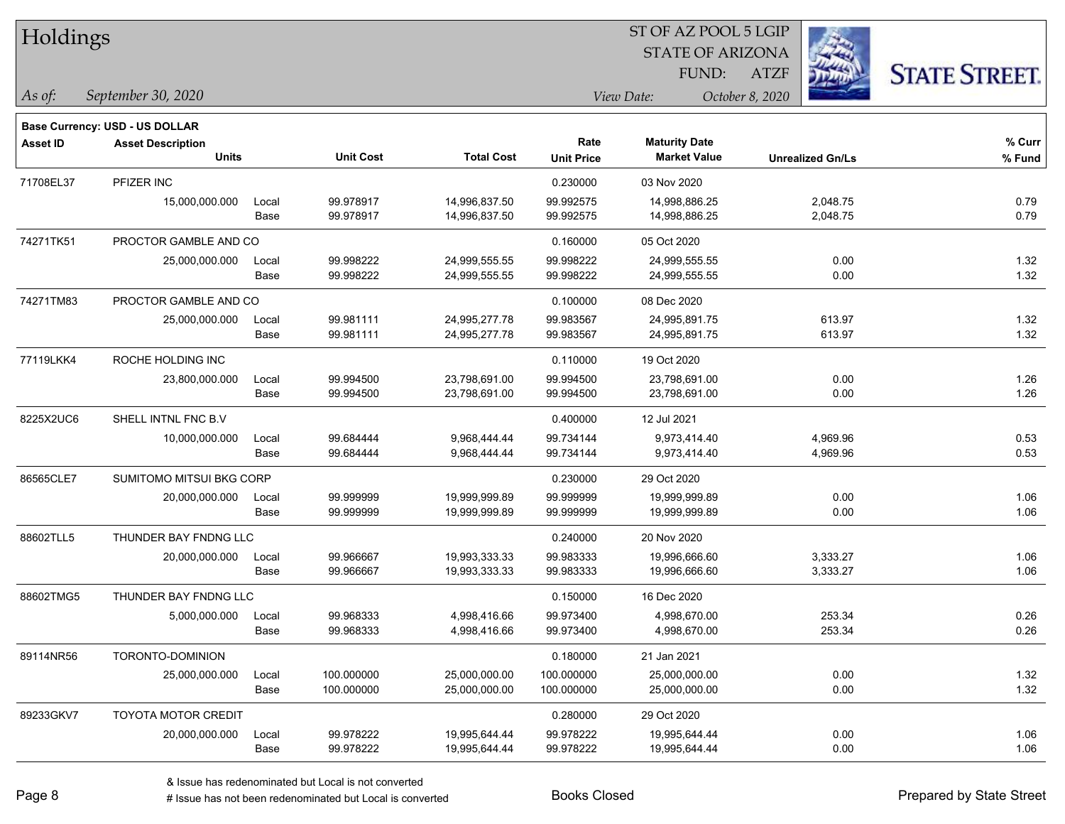| Holdings        |                                       |       |                  |                   |                   | ST OF AZ POOL 5 LGIP    |                         |                      |  |
|-----------------|---------------------------------------|-------|------------------|-------------------|-------------------|-------------------------|-------------------------|----------------------|--|
|                 |                                       |       |                  |                   |                   | <b>STATE OF ARIZONA</b> |                         |                      |  |
|                 |                                       |       |                  |                   |                   | FUND:                   | <b>ATZF</b>             | <b>STATE STREET.</b> |  |
| As of:          | September 30, 2020                    |       |                  |                   |                   | View Date:              | October 8, 2020         |                      |  |
|                 | <b>Base Currency: USD - US DOLLAR</b> |       |                  |                   |                   |                         |                         |                      |  |
| <b>Asset ID</b> | <b>Asset Description</b>              |       |                  |                   | Rate              | <b>Maturity Date</b>    |                         | % Curr               |  |
|                 | <b>Units</b>                          |       | <b>Unit Cost</b> | <b>Total Cost</b> | <b>Unit Price</b> | <b>Market Value</b>     | <b>Unrealized Gn/Ls</b> | % Fund               |  |
| 71708EL37       | PFIZER INC                            |       |                  |                   | 0.230000          | 03 Nov 2020             |                         |                      |  |
|                 | 15,000,000.000                        | Local | 99.978917        | 14,996,837.50     | 99.992575         | 14,998,886.25           | 2,048.75                | 0.79                 |  |
|                 |                                       | Base  | 99.978917        | 14,996,837.50     | 99.992575         | 14,998,886.25           | 2,048.75                | 0.79                 |  |
| 74271TK51       | PROCTOR GAMBLE AND CO                 |       |                  |                   | 0.160000          | 05 Oct 2020             |                         |                      |  |
|                 | 25,000,000.000                        | Local | 99.998222        | 24,999,555.55     | 99.998222         | 24,999,555.55           | 0.00                    | 1.32                 |  |
|                 |                                       | Base  | 99.998222        | 24,999,555.55     | 99.998222         | 24,999,555.55           | 0.00                    | 1.32                 |  |
| 74271TM83       | PROCTOR GAMBLE AND CO                 |       |                  |                   | 0.100000          | 08 Dec 2020             |                         |                      |  |
|                 | 25,000,000.000                        | Local | 99.981111        | 24,995,277.78     | 99.983567         | 24,995,891.75           | 613.97                  | 1.32                 |  |
|                 |                                       | Base  | 99.981111        | 24,995,277.78     | 99.983567         | 24,995,891.75           | 613.97                  | 1.32                 |  |
| 77119LKK4       | ROCHE HOLDING INC                     |       |                  |                   | 0.110000          | 19 Oct 2020             |                         |                      |  |
|                 | 23,800,000.000                        | Local | 99.994500        | 23,798,691.00     | 99.994500         | 23,798,691.00           | 0.00                    | 1.26                 |  |
|                 |                                       | Base  | 99.994500        | 23,798,691.00     | 99.994500         | 23,798,691.00           | 0.00                    | 1.26                 |  |
| 8225X2UC6       | SHELL INTNL FNC B.V                   |       |                  |                   | 0.400000          | 12 Jul 2021             |                         |                      |  |
|                 | 10,000,000.000                        | Local | 99.684444        | 9,968,444.44      | 99.734144         | 9,973,414.40            | 4,969.96                | 0.53                 |  |
|                 |                                       | Base  | 99.684444        | 9,968,444.44      | 99.734144         | 9,973,414.40            | 4,969.96                | 0.53                 |  |
| 86565CLE7       | SUMITOMO MITSUI BKG CORP              |       |                  |                   | 0.230000          | 29 Oct 2020             |                         |                      |  |
|                 | 20,000,000.000                        | Local | 99.999999        | 19,999,999.89     | 99.999999         | 19,999,999.89           | 0.00                    | 1.06                 |  |
|                 |                                       | Base  | 99.999999        | 19,999,999.89     | 99.999999         | 19,999,999.89           | 0.00                    | 1.06                 |  |
| 88602TLL5       | THUNDER BAY FNDNG LLC                 |       |                  |                   | 0.240000          | 20 Nov 2020             |                         |                      |  |
|                 | 20,000,000.000                        | Local | 99.966667        | 19,993,333.33     | 99.983333         | 19,996,666.60           | 3,333.27                | 1.06                 |  |
|                 |                                       | Base  | 99.966667        | 19,993,333.33     | 99.983333         | 19,996,666.60           | 3,333.27                | 1.06                 |  |
| 88602TMG5       | THUNDER BAY FNDNG LLC                 |       |                  |                   | 0.150000          | 16 Dec 2020             |                         |                      |  |
|                 | 5,000,000.000                         | Local | 99.968333        | 4,998,416.66      | 99.973400         | 4,998,670.00            | 253.34                  | 0.26                 |  |
|                 |                                       | Base  | 99.968333        | 4,998,416.66      | 99.973400         | 4,998,670.00            | 253.34                  | 0.26                 |  |
| 89114NR56       | TORONTO-DOMINION                      |       |                  |                   | 0.180000          | 21 Jan 2021             |                         |                      |  |
|                 | 25,000,000.000                        | Local | 100.000000       | 25,000,000.00     | 100.000000        | 25,000,000.00           | 0.00                    | 1.32                 |  |
|                 |                                       | Base  | 100.000000       | 25,000,000.00     | 100.000000        | 25,000,000.00           | 0.00                    | 1.32                 |  |
| 89233GKV7       | <b>TOYOTA MOTOR CREDIT</b>            |       |                  |                   | 0.280000          | 29 Oct 2020             |                         |                      |  |

 $\overline{\phantom{0}}$ 

20,000,000.000 Local 99.978222 19,995,644.44 99.978222 19,995,644.44 0.00 1.06

Base 99.978222 19,995,644.44 99.978222 19,995,644.44 0.00 1.06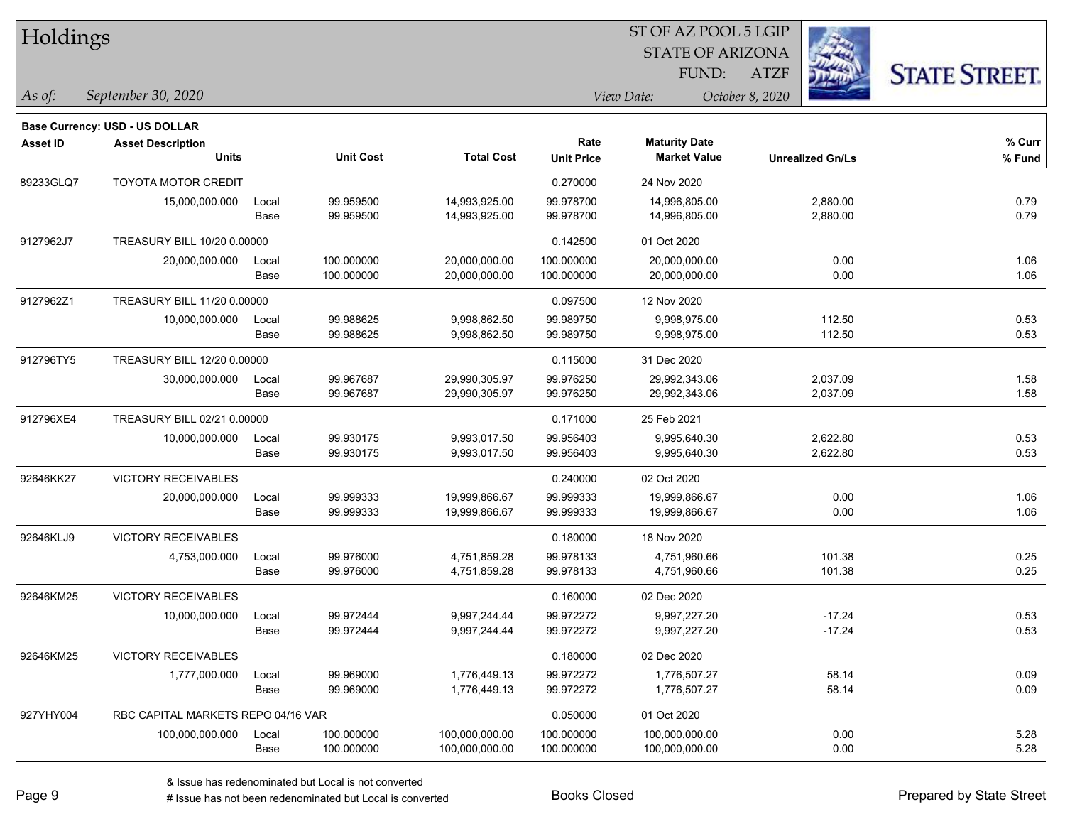| Holdings        |                                          |               |                        |                                |                           | ST OF AZ POOL 5 LGIP                        |                         |                      |
|-----------------|------------------------------------------|---------------|------------------------|--------------------------------|---------------------------|---------------------------------------------|-------------------------|----------------------|
|                 |                                          |               |                        |                                |                           | <b>STATE OF ARIZONA</b>                     |                         |                      |
|                 |                                          |               |                        |                                |                           | FUND:                                       | <b>ATZF</b>             | <b>STATE STREET.</b> |
| As of:          | September 30, 2020                       |               |                        |                                |                           | View Date:                                  | October 8, 2020         |                      |
|                 |                                          |               |                        |                                |                           |                                             |                         |                      |
|                 | Base Currency: USD - US DOLLAR           |               |                        |                                |                           |                                             |                         |                      |
| <b>Asset ID</b> | <b>Asset Description</b><br><b>Units</b> |               | <b>Unit Cost</b>       | <b>Total Cost</b>              | Rate<br><b>Unit Price</b> | <b>Maturity Date</b><br><b>Market Value</b> | <b>Unrealized Gn/Ls</b> | % Curr<br>% Fund     |
|                 |                                          |               |                        |                                |                           |                                             |                         |                      |
| 89233GLQ7       | <b>TOYOTA MOTOR CREDIT</b>               |               |                        |                                | 0.270000                  | 24 Nov 2020                                 |                         |                      |
|                 | 15,000,000.000                           | Local<br>Base | 99.959500<br>99.959500 | 14,993,925.00<br>14,993,925.00 | 99.978700<br>99.978700    | 14,996,805.00<br>14,996,805.00              | 2,880.00<br>2,880.00    | 0.79<br>0.79         |
|                 |                                          |               |                        |                                |                           |                                             |                         |                      |
| 9127962J7       | TREASURY BILL 10/20 0.00000              |               |                        |                                | 0.142500                  | 01 Oct 2020                                 |                         |                      |
|                 | 20,000,000.000                           | Local         | 100.000000             | 20,000,000.00                  | 100.000000                | 20,000,000.00                               | 0.00                    | 1.06                 |
|                 |                                          | Base          | 100.000000             | 20,000,000.00                  | 100.000000                | 20,000,000.00                               | 0.00                    | 1.06                 |
| 9127962Z1       | TREASURY BILL 11/20 0.00000              |               |                        |                                | 0.097500                  | 12 Nov 2020                                 |                         |                      |
|                 | 10,000,000.000                           | Local         | 99.988625              | 9,998,862.50                   | 99.989750                 | 9,998,975.00                                | 112.50                  | 0.53                 |
|                 |                                          | Base          | 99.988625              | 9,998,862.50                   | 99.989750                 | 9,998,975.00                                | 112.50                  | 0.53                 |
| 912796TY5       | TREASURY BILL 12/20 0.00000              |               |                        |                                | 0.115000                  | 31 Dec 2020                                 |                         |                      |
|                 | 30,000,000.000                           | Local         | 99.967687              | 29,990,305.97                  | 99.976250                 | 29,992,343.06                               | 2,037.09                | 1.58                 |
|                 |                                          | Base          | 99.967687              | 29,990,305.97                  | 99.976250                 | 29,992,343.06                               | 2,037.09                | 1.58                 |
| 912796XE4       | TREASURY BILL 02/21 0.00000              |               |                        |                                | 0.171000                  | 25 Feb 2021                                 |                         |                      |
|                 | 10,000,000.000                           | Local         | 99.930175              | 9,993,017.50                   | 99.956403                 | 9,995,640.30                                | 2,622.80                | 0.53                 |
|                 |                                          | Base          | 99.930175              | 9,993,017.50                   | 99.956403                 | 9,995,640.30                                | 2,622.80                | 0.53                 |
| 92646KK27       | <b>VICTORY RECEIVABLES</b>               |               |                        |                                | 0.240000                  | 02 Oct 2020                                 |                         |                      |
|                 | 20,000,000.000                           | Local         | 99.999333              | 19,999,866.67                  | 99.999333                 | 19,999,866.67                               | 0.00                    | 1.06                 |
|                 |                                          | Base          | 99.999333              | 19,999,866.67                  | 99.999333                 | 19,999,866.67                               | 0.00                    | 1.06                 |
| 92646KLJ9       | <b>VICTORY RECEIVABLES</b>               |               |                        |                                | 0.180000                  | 18 Nov 2020                                 |                         |                      |
|                 | 4,753,000.000                            | Local         | 99.976000              | 4,751,859.28                   | 99.978133                 | 4,751,960.66                                | 101.38                  | 0.25                 |
|                 |                                          | Base          | 99.976000              | 4,751,859.28                   | 99.978133                 | 4,751,960.66                                | 101.38                  | 0.25                 |
| 92646KM25       | <b>VICTORY RECEIVABLES</b>               |               |                        |                                | 0.160000                  | 02 Dec 2020                                 |                         |                      |
|                 | 10,000,000.000                           | Local         | 99.972444              | 9,997,244.44                   | 99.972272                 | 9,997,227.20                                | $-17.24$                | 0.53                 |
|                 |                                          | Base          | 99.972444              | 9,997,244.44                   | 99.972272                 | 9,997,227.20                                | $-17.24$                | 0.53                 |
| 92646KM25       | VICTORY RECEIVABLES                      |               |                        |                                | 0.180000                  | 02 Dec 2020                                 |                         |                      |
|                 | 1,777,000.000                            | Local         | 99.969000              | 1,776,449.13                   | 99.972272                 | 1,776,507.27                                | 58.14                   | 0.09                 |
|                 |                                          | Base          | 99.969000              | 1,776,449.13                   | 99.972272                 | 1,776,507.27                                | 58.14                   | 0.09                 |
| 927YHY004       | RBC CAPITAL MARKETS REPO 04/16 VAR       |               |                        |                                | 0.050000                  | 01 Oct 2020                                 |                         |                      |
|                 | 100,000,000.000                          | Local         | 100.000000             | 100,000,000.00                 | 100.000000                | 100,000,000.00                              | 0.00                    | 5.28                 |
|                 |                                          | Base          | 100.000000             | 100,000,000.00                 | 100.000000                | 100,000,000.00                              | 0.00                    | 5.28                 |

# Issue has not been redenominated but Local is converted Books Closed Prepared by State Street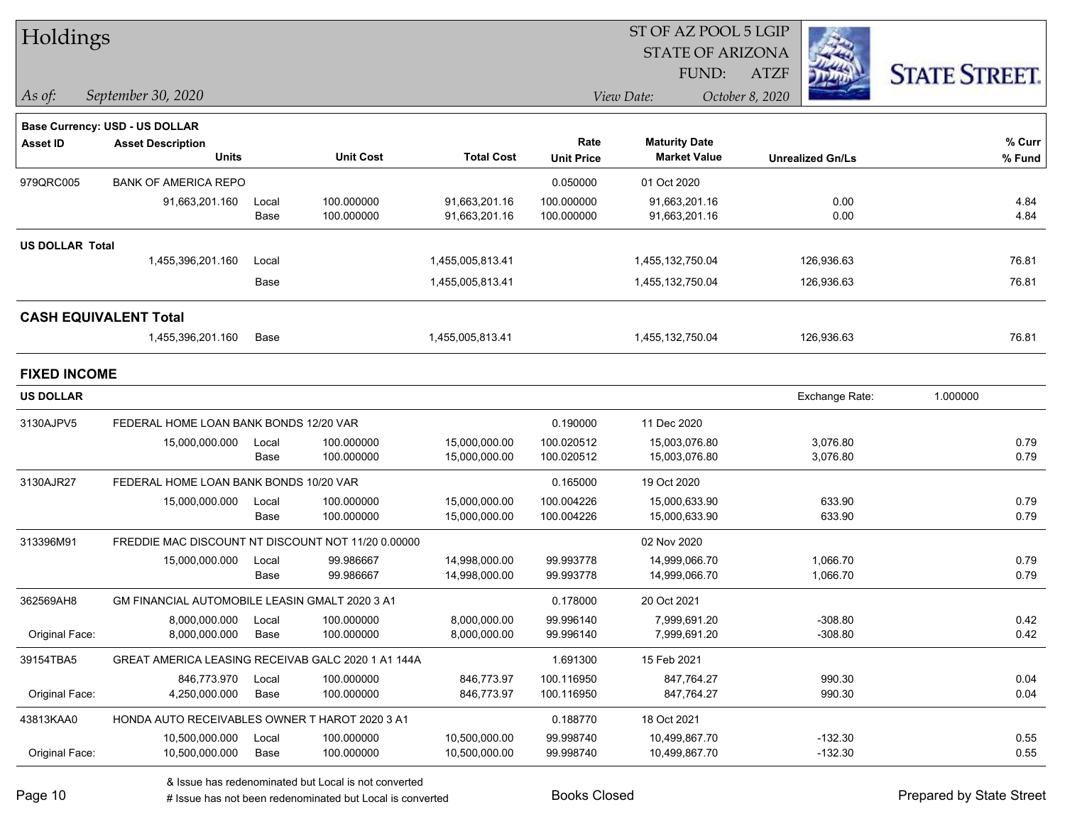| Holdings               |                                                            |       |                  |                   |                   |                         |                         |                      |
|------------------------|------------------------------------------------------------|-------|------------------|-------------------|-------------------|-------------------------|-------------------------|----------------------|
|                        |                                                            |       |                  |                   |                   | <b>STATE OF ARIZONA</b> |                         |                      |
|                        |                                                            |       |                  |                   |                   | FUND:                   | <b>ATZF</b>             | <b>STATE STREET.</b> |
| As of:                 | September 30, 2020                                         |       |                  |                   |                   | View Date:              | October 8, 2020         |                      |
|                        |                                                            |       |                  |                   |                   |                         |                         |                      |
| <b>Asset ID</b>        | Base Currency: USD - US DOLLAR<br><b>Asset Description</b> |       |                  |                   | Rate              | <b>Maturity Date</b>    |                         | % Curr               |
|                        | <b>Units</b>                                               |       | <b>Unit Cost</b> | <b>Total Cost</b> | <b>Unit Price</b> | <b>Market Value</b>     | <b>Unrealized Gn/Ls</b> | % Fund               |
| 979QRC005              | <b>BANK OF AMERICA REPO</b>                                |       |                  |                   | 0.050000          | 01 Oct 2020             |                         |                      |
|                        | 91,663,201.160                                             | Local | 100.000000       | 91,663,201.16     | 100.000000        | 91,663,201.16           | 0.00                    | 4.84                 |
|                        |                                                            | Base  | 100.000000       | 91,663,201.16     | 100.000000        | 91,663,201.16           | 0.00                    | 4.84                 |
| <b>US DOLLAR Total</b> |                                                            |       |                  |                   |                   |                         |                         |                      |
|                        | 1,455,396,201.160                                          | Local |                  | 1,455,005,813.41  |                   | 1,455,132,750.04        | 126,936.63              | 76.81                |
|                        |                                                            | Base  |                  | 1,455,005,813.41  |                   | 1,455,132,750.04        | 126,936.63              | 76.81                |
|                        | <b>CASH EQUIVALENT Total</b>                               |       |                  |                   |                   |                         |                         |                      |
|                        | 1,455,396,201.160                                          | Base  |                  | 1,455,005,813.41  |                   | 1,455,132,750.04        | 126,936.63              | 76.81                |
| <b>FIXED INCOME</b>    |                                                            |       |                  |                   |                   |                         |                         |                      |
| <b>US DOLLAR</b>       |                                                            |       |                  |                   |                   |                         | Exchange Rate:          | 1.000000             |
| 3130AJPV5              | FEDERAL HOME LOAN BANK BONDS 12/20 VAR                     |       |                  |                   | 0.190000          | 11 Dec 2020             |                         |                      |
|                        | 15,000,000.000                                             | Local | 100.000000       | 15,000,000.00     | 100.020512        | 15,003,076.80           | 3,076.80                | 0.79                 |
|                        |                                                            | Base  | 100.000000       | 15,000,000.00     | 100.020512        | 15,003,076.80           | 3,076.80                | 0.79                 |
| 3130AJR27              | FEDERAL HOME LOAN BANK BONDS 10/20 VAR                     |       |                  |                   | 0.165000          | 19 Oct 2020             |                         |                      |
|                        | 15,000,000.000                                             | Local | 100.000000       | 15,000,000.00     | 100.004226        | 15,000,633.90           | 633.90                  | 0.79                 |
|                        |                                                            | Base  | 100.000000       | 15,000,000.00     | 100.004226        | 15,000,633.90           | 633.90                  | 0.79                 |
| 313396M91              | FREDDIE MAC DISCOUNT NT DISCOUNT NOT 11/20 0.00000         |       |                  |                   |                   | 02 Nov 2020             |                         |                      |
|                        | 15,000,000.000                                             | Local | 99.986667        | 14,998,000.00     | 99.993778         | 14,999,066.70           | 1,066.70                | 0.79                 |
|                        |                                                            | Base  | 99.986667        | 14,998,000.00     | 99.993778         | 14,999,066.70           | 1,066.70                | 0.79                 |
| 362569AH8              | <b>GM FINANCIAL AUTOMOBILE LEASIN GMALT 2020 3 A1</b>      |       |                  |                   | 0.178000          | 20 Oct 2021             |                         |                      |
|                        | 8,000,000.000                                              | Local | 100.000000       | 8,000,000.00      | 99.996140         | 7,999,691.20            | $-308.80$               | 0.42                 |
| Original Face:         | 8,000,000.000                                              | Base  | 100.000000       | 8,000,000.00      | 99.996140         | 7,999,691.20            | $-308.80$               | 0.42                 |
| 39154TBA5              | GREAT AMERICA LEASING RECEIVAB GALC 2020 1 A1 144A         |       |                  |                   | 1.691300          | 15 Feb 2021             |                         |                      |
|                        | 846,773.970                                                | Local | 100.000000       | 846,773.97        | 100.116950        | 847,764.27              | 990.30                  | 0.04                 |
| Original Face:         | 4,250,000.000                                              | Base  | 100.000000       | 846,773.97        | 100.116950        | 847,764.27              | 990.30                  | 0.04                 |
| 43813KAA0              | HONDA AUTO RECEIVABLES OWNER T HAROT 2020 3 A1             |       |                  |                   | 0.188770          | 18 Oct 2021             |                         |                      |
|                        | 10,500,000.000                                             | Local | 100.000000       | 10,500,000.00     | 99.998740         | 10,499,867.70           | $-132.30$               | 0.55                 |
| Original Face:         | 10,500,000.000                                             | Base  | 100.000000       | 10,500,000.00     | 99.998740         | 10,499,867.70           | $-132.30$               | 0.55                 |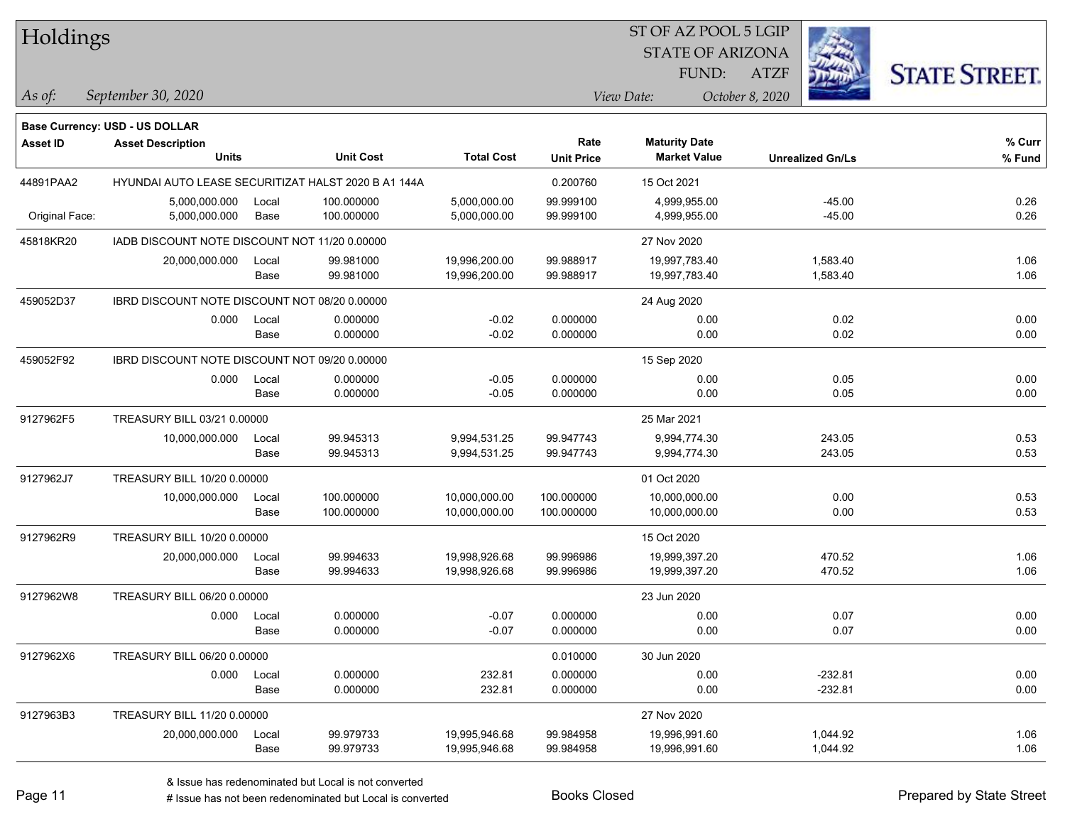| Holdings        |                                               |       |                                                     |                   |                   | ST OF AZ POOL 5 LGIP    |                 |                         |                      |
|-----------------|-----------------------------------------------|-------|-----------------------------------------------------|-------------------|-------------------|-------------------------|-----------------|-------------------------|----------------------|
|                 |                                               |       |                                                     |                   |                   | <b>STATE OF ARIZONA</b> |                 |                         |                      |
|                 |                                               |       |                                                     |                   |                   | FUND:                   | <b>ATZF</b>     |                         | <b>STATE STREET.</b> |
| As of:          | September 30, 2020                            |       |                                                     |                   |                   | View Date:              | October 8, 2020 |                         |                      |
|                 | <b>Base Currency: USD - US DOLLAR</b>         |       |                                                     |                   |                   |                         |                 |                         |                      |
| <b>Asset ID</b> | <b>Asset Description</b>                      |       |                                                     |                   | Rate              | <b>Maturity Date</b>    |                 |                         | % Curr               |
|                 | <b>Units</b>                                  |       | <b>Unit Cost</b>                                    | <b>Total Cost</b> | <b>Unit Price</b> | <b>Market Value</b>     |                 | <b>Unrealized Gn/Ls</b> | % Fund               |
| 44891PAA2       |                                               |       | HYUNDAI AUTO LEASE SECURITIZAT HALST 2020 B A1 144A |                   | 0.200760          | 15 Oct 2021             |                 |                         |                      |
|                 | 5,000,000.000                                 | Local | 100.000000                                          | 5,000,000.00      | 99.999100         | 4,999,955.00            |                 | $-45.00$                | 0.26                 |
| Original Face:  | 5,000,000.000                                 | Base  | 100.000000                                          | 5,000,000.00      | 99.999100         | 4,999,955.00            |                 | $-45.00$                | 0.26                 |
| 45818KR20       | IADB DISCOUNT NOTE DISCOUNT NOT 11/20 0.00000 |       |                                                     |                   |                   | 27 Nov 2020             |                 |                         |                      |
|                 | 20,000,000.000                                | Local | 99.981000                                           | 19,996,200.00     | 99.988917         | 19,997,783.40           |                 | 1,583.40                | 1.06                 |
|                 |                                               | Base  | 99.981000                                           | 19,996,200.00     | 99.988917         | 19,997,783.40           |                 | 1,583.40                | 1.06                 |
| 459052D37       | IBRD DISCOUNT NOTE DISCOUNT NOT 08/20 0.00000 |       |                                                     |                   |                   | 24 Aug 2020             |                 |                         |                      |
|                 | 0.000                                         | Local | 0.000000                                            | $-0.02$           | 0.000000          | 0.00                    |                 | 0.02                    | 0.00                 |
|                 |                                               | Base  | 0.000000                                            | $-0.02$           | 0.000000          | 0.00                    |                 | 0.02                    | 0.00                 |
| 459052F92       | IBRD DISCOUNT NOTE DISCOUNT NOT 09/20 0.00000 |       |                                                     |                   |                   | 15 Sep 2020             |                 |                         |                      |
|                 | 0.000                                         | Local | 0.000000                                            | $-0.05$           | 0.000000          | 0.00                    |                 | 0.05                    | 0.00                 |
|                 |                                               | Base  | 0.000000                                            | $-0.05$           | 0.000000          | 0.00                    |                 | 0.05                    | 0.00                 |
| 9127962F5       | TREASURY BILL 03/21 0.00000                   |       |                                                     |                   |                   | 25 Mar 2021             |                 |                         |                      |
|                 | 10,000,000.000                                | Local | 99.945313                                           | 9,994,531.25      | 99.947743         | 9,994,774.30            |                 | 243.05                  | 0.53                 |
|                 |                                               | Base  | 99.945313                                           | 9,994,531.25      | 99.947743         | 9,994,774.30            |                 | 243.05                  | 0.53                 |
| 9127962J7       | TREASURY BILL 10/20 0.00000                   |       |                                                     |                   |                   | 01 Oct 2020             |                 |                         |                      |
|                 | 10,000,000.000                                | Local | 100.000000                                          | 10,000,000.00     | 100.000000        | 10,000,000.00           |                 | 0.00                    | 0.53                 |
|                 |                                               | Base  | 100.000000                                          | 10,000,000.00     | 100.000000        | 10,000,000.00           |                 | 0.00                    | 0.53                 |
| 9127962R9       | TREASURY BILL 10/20 0.00000                   |       |                                                     |                   |                   | 15 Oct 2020             |                 |                         |                      |
|                 | 20,000,000.000                                | Local | 99.994633                                           | 19,998,926.68     | 99.996986         | 19,999,397.20           |                 | 470.52                  | 1.06                 |
|                 |                                               | Base  | 99.994633                                           | 19,998,926.68     | 99.996986         | 19,999,397.20           |                 | 470.52                  | 1.06                 |
| 9127962W8       | TREASURY BILL 06/20 0.00000                   |       |                                                     |                   |                   | 23 Jun 2020             |                 |                         |                      |
|                 | 0.000                                         | Local | 0.000000                                            | $-0.07$           | 0.000000          | 0.00                    |                 | 0.07                    | 0.00                 |
|                 |                                               | Base  | 0.000000                                            | $-0.07$           | 0.000000          | 0.00                    |                 | 0.07                    | 0.00                 |
| 9127962X6       | TREASURY BILL 06/20 0.00000                   |       |                                                     |                   | 0.010000          | 30 Jun 2020             |                 |                         |                      |
|                 | 0.000                                         | Local | 0.000000                                            | 232.81            | 0.000000          | 0.00                    |                 | $-232.81$               | 0.00                 |
|                 |                                               | Base  | 0.000000                                            | 232.81            | 0.000000          | 0.00                    |                 | $-232.81$               | 0.00                 |
| 9127963B3       | TREASURY BILL 11/20 0.00000                   |       |                                                     |                   |                   | 27 Nov 2020             |                 |                         |                      |
|                 | 20,000,000.000                                | Local | 99.979733                                           | 19,995,946.68     | 99.984958         | 19,996,991.60           |                 | 1,044.92                | 1.06                 |
|                 |                                               | Base  | 99.979733                                           | 19,995,946.68     | 99.984958         | 19,996,991.60           |                 | 1,044.92                | 1.06                 |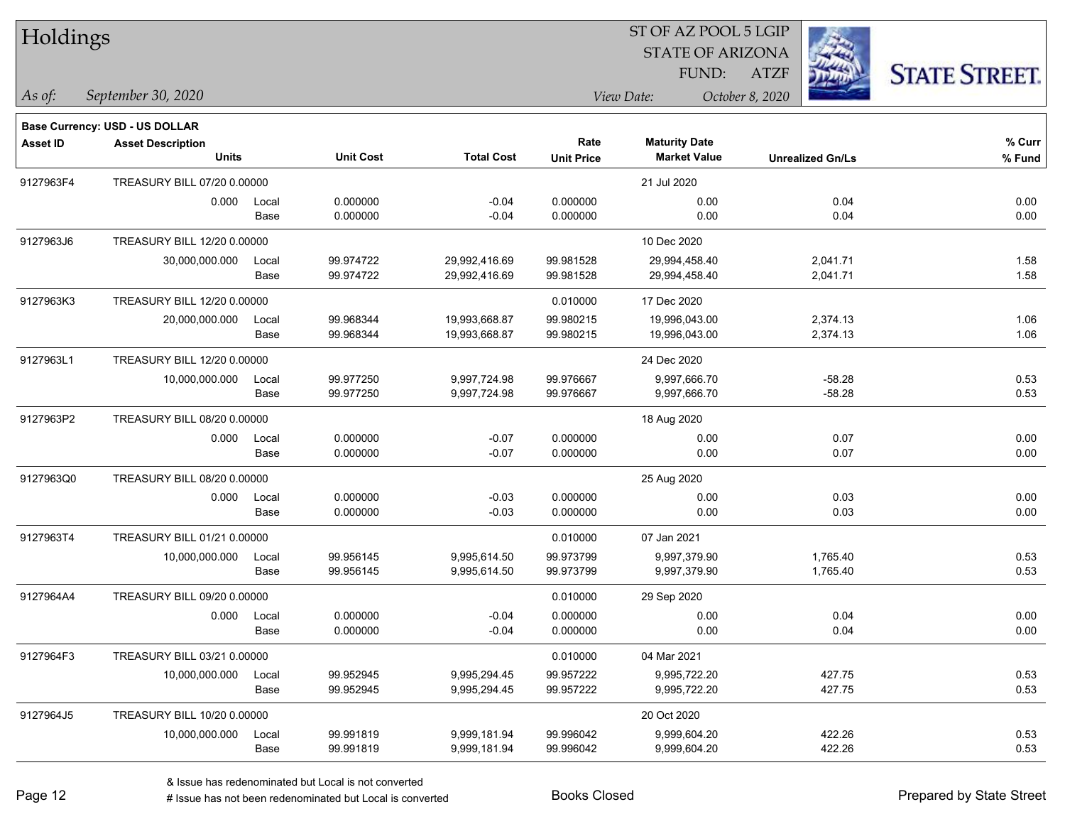| Holdings        |                                       |       |                  | ST OF AZ POOL 5 LGIP |                   |                         |                         |                      |  |  |
|-----------------|---------------------------------------|-------|------------------|----------------------|-------------------|-------------------------|-------------------------|----------------------|--|--|
|                 |                                       |       |                  |                      |                   | <b>STATE OF ARIZONA</b> |                         |                      |  |  |
|                 |                                       |       |                  |                      |                   | FUND:                   | <b>ATZF</b>             | <b>STATE STREET.</b> |  |  |
| $\vert$ As of:  | September 30, 2020                    |       |                  |                      | View Date:        |                         | October 8, 2020         |                      |  |  |
|                 | <b>Base Currency: USD - US DOLLAR</b> |       |                  |                      |                   |                         |                         |                      |  |  |
| <b>Asset ID</b> | <b>Asset Description</b>              |       |                  |                      | Rate              | <b>Maturity Date</b>    |                         | % Curr               |  |  |
|                 | <b>Units</b>                          |       | <b>Unit Cost</b> | <b>Total Cost</b>    | <b>Unit Price</b> | <b>Market Value</b>     | <b>Unrealized Gn/Ls</b> | % Fund               |  |  |
| 9127963F4       | TREASURY BILL 07/20 0.00000           |       |                  |                      |                   | 21 Jul 2020             |                         |                      |  |  |
|                 | 0.000                                 | Local | 0.000000         | $-0.04$              | 0.000000          | 0.00                    | 0.04                    | 0.00                 |  |  |
|                 |                                       | Base  | 0.000000         | $-0.04$              | 0.000000          | 0.00                    | 0.04                    | 0.00                 |  |  |
| 9127963J6       | TREASURY BILL 12/20 0.00000           |       |                  |                      |                   | 10 Dec 2020             |                         |                      |  |  |
|                 | 30,000,000.000                        | Local | 99.974722        | 29,992,416.69        | 99.981528         | 29,994,458.40           | 2,041.71                | 1.58                 |  |  |
|                 |                                       | Base  | 99.974722        | 29,992,416.69        | 99.981528         | 29,994,458.40           | 2,041.71                | 1.58                 |  |  |
| 9127963K3       | TREASURY BILL 12/20 0.00000           |       |                  |                      | 0.010000          | 17 Dec 2020             |                         |                      |  |  |
|                 | 20,000,000.000                        | Local | 99.968344        | 19,993,668.87        | 99.980215         | 19,996,043.00           | 2,374.13                | 1.06                 |  |  |
|                 |                                       | Base  | 99.968344        | 19,993,668.87        | 99.980215         | 19,996,043.00           | 2,374.13                | 1.06                 |  |  |
| 9127963L1       | TREASURY BILL 12/20 0.00000           |       |                  |                      |                   | 24 Dec 2020             |                         |                      |  |  |
|                 | 10,000,000.000                        | Local | 99.977250        | 9,997,724.98         | 99.976667         | 9,997,666.70            | $-58.28$                | 0.53                 |  |  |
|                 |                                       | Base  | 99.977250        | 9,997,724.98         | 99.976667         | 9,997,666.70            | $-58.28$                | 0.53                 |  |  |
| 9127963P2       | TREASURY BILL 08/20 0.00000           |       |                  |                      |                   | 18 Aug 2020             |                         |                      |  |  |
|                 | 0.000                                 | Local | 0.000000         | $-0.07$              | 0.000000          | 0.00                    | 0.07                    | 0.00                 |  |  |
|                 |                                       | Base  | 0.000000         | $-0.07$              | 0.000000          | 0.00                    | 0.07                    | 0.00                 |  |  |
| 9127963Q0       | TREASURY BILL 08/20 0.00000           |       |                  |                      |                   | 25 Aug 2020             |                         |                      |  |  |
|                 | 0.000                                 | Local | 0.000000         | $-0.03$              | 0.000000          | 0.00                    | 0.03                    | 0.00                 |  |  |
|                 |                                       | Base  | 0.000000         | $-0.03$              | 0.000000          | 0.00                    | 0.03                    | 0.00                 |  |  |
| 9127963T4       | TREASURY BILL 01/21 0.00000           |       |                  |                      | 0.010000          | 07 Jan 2021             |                         |                      |  |  |
|                 | 10,000,000.000                        | Local | 99.956145        | 9,995,614.50         | 99.973799         | 9,997,379.90            | 1,765.40                | 0.53                 |  |  |
|                 |                                       | Base  | 99.956145        | 9,995,614.50         | 99.973799         | 9,997,379.90            | 1,765.40                | 0.53                 |  |  |
| 9127964A4       | TREASURY BILL 09/20 0.00000           |       |                  |                      | 0.010000          | 29 Sep 2020             |                         |                      |  |  |
|                 | 0.000                                 | Local | 0.000000         | $-0.04$              | 0.000000          | 0.00                    | 0.04                    | 0.00                 |  |  |
|                 |                                       | Base  | 0.000000         | $-0.04$              | 0.000000          | 0.00                    | 0.04                    | 0.00                 |  |  |
| 9127964F3       | TREASURY BILL 03/21 0.00000           |       |                  |                      | 0.010000          | 04 Mar 2021             |                         |                      |  |  |
|                 | 10,000,000.000                        | Local | 99.952945        | 9,995,294.45         | 99.957222         | 9,995,722.20            | 427.75                  | 0.53                 |  |  |
|                 |                                       | Base  | 99.952945        | 9,995,294.45         | 99.957222         | 9,995,722.20            | 427.75                  | 0.53                 |  |  |
| 9127964J5       | TREASURY BILL 10/20 0.00000           |       |                  |                      |                   | 20 Oct 2020             |                         |                      |  |  |
|                 | 10,000,000.000                        | Local | 99.991819        | 9,999,181.94         | 99.996042         | 9,999,604.20            | 422.26                  | 0.53                 |  |  |
|                 |                                       | Base  | 99.991819        | 9,999,181.94         | 99.996042         | 9,999,604.20            | 422.26                  | 0.53                 |  |  |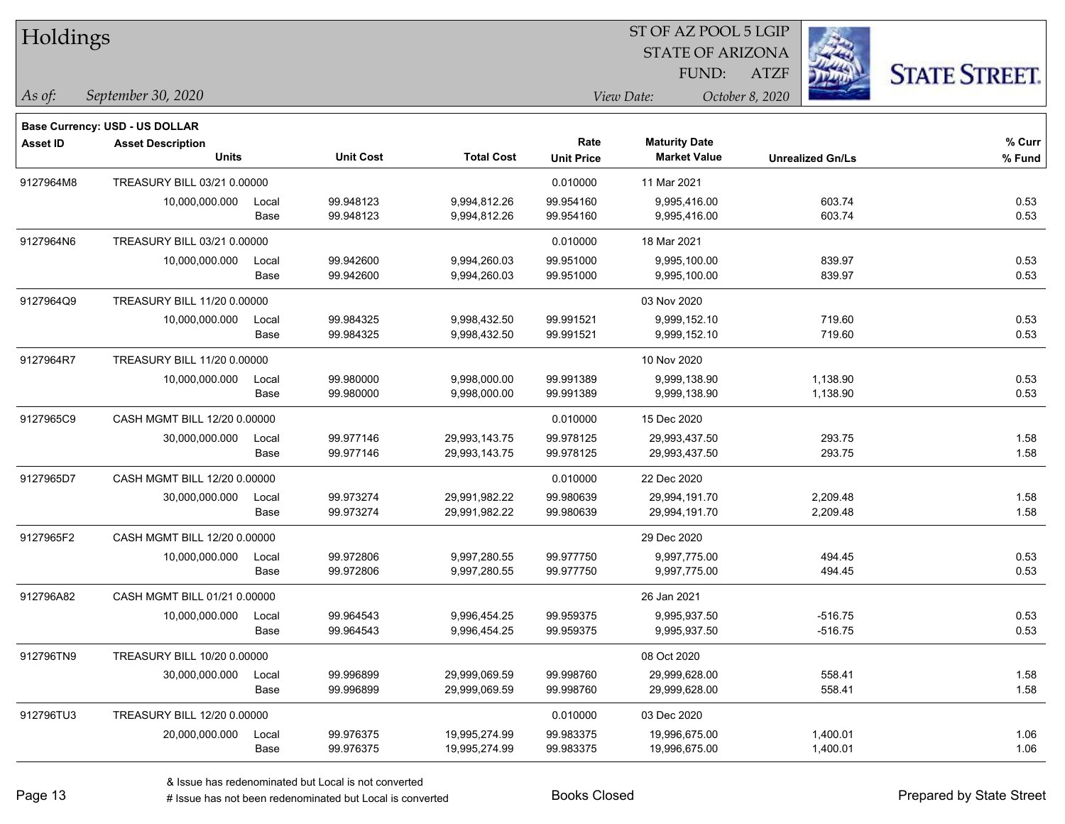| Holdings        |                                |       |                  |                   |                   | ST OF AZ POOL 5 LGIP    |                         |                      |
|-----------------|--------------------------------|-------|------------------|-------------------|-------------------|-------------------------|-------------------------|----------------------|
|                 |                                |       |                  |                   |                   | <b>STATE OF ARIZONA</b> |                         |                      |
|                 |                                |       |                  |                   |                   | FUND:                   | <b>ATZF</b>             | <b>STATE STREET.</b> |
| As of:          | September 30, 2020             |       |                  |                   |                   | View Date:              | October 8, 2020         |                      |
|                 | Base Currency: USD - US DOLLAR |       |                  |                   |                   |                         |                         |                      |
| <b>Asset ID</b> | <b>Asset Description</b>       |       |                  |                   | Rate              | <b>Maturity Date</b>    |                         | % Curr               |
|                 | Units                          |       | <b>Unit Cost</b> | <b>Total Cost</b> | <b>Unit Price</b> | <b>Market Value</b>     | <b>Unrealized Gn/Ls</b> | % Fund               |
| 9127964M8       | TREASURY BILL 03/21 0.00000    |       |                  |                   | 0.010000          | 11 Mar 2021             |                         |                      |
|                 | 10,000,000.000                 | Local | 99.948123        | 9,994,812.26      | 99.954160         | 9,995,416.00            | 603.74                  | 0.53                 |
|                 |                                | Base  | 99.948123        | 9,994,812.26      | 99.954160         | 9,995,416.00            | 603.74                  | 0.53                 |
| 9127964N6       | TREASURY BILL 03/21 0.00000    |       |                  |                   | 0.010000          | 18 Mar 2021             |                         |                      |
|                 | 10,000,000.000                 | Local | 99.942600        | 9,994,260.03      | 99.951000         | 9,995,100.00            | 839.97                  | 0.53                 |
|                 |                                | Base  | 99.942600        | 9,994,260.03      | 99.951000         | 9,995,100.00            | 839.97                  | 0.53                 |
| 9127964Q9       | TREASURY BILL 11/20 0.00000    |       |                  |                   |                   | 03 Nov 2020             |                         |                      |
|                 | 10,000,000.000                 | Local | 99.984325        | 9,998,432.50      | 99.991521         | 9,999,152.10            | 719.60                  | 0.53                 |
|                 |                                | Base  | 99.984325        | 9,998,432.50      | 99.991521         | 9,999,152.10            | 719.60                  | 0.53                 |
| 9127964R7       | TREASURY BILL 11/20 0.00000    |       |                  |                   |                   | 10 Nov 2020             |                         |                      |
|                 | 10,000,000.000                 | Local | 99.980000        | 9,998,000.00      | 99.991389         | 9,999,138.90            | 1,138.90                | 0.53                 |
|                 |                                | Base  | 99.980000        | 9,998,000.00      | 99.991389         | 9,999,138.90            | 1,138.90                | 0.53                 |
| 9127965C9       | CASH MGMT BILL 12/20 0.00000   |       |                  |                   | 0.010000          | 15 Dec 2020             |                         |                      |
|                 | 30,000,000.000                 | Local | 99.977146        | 29,993,143.75     | 99.978125         | 29,993,437.50           | 293.75                  | 1.58                 |
|                 |                                | Base  | 99.977146        | 29,993,143.75     | 99.978125         | 29,993,437.50           | 293.75                  | 1.58                 |
| 9127965D7       | CASH MGMT BILL 12/20 0.00000   |       |                  |                   | 0.010000          | 22 Dec 2020             |                         |                      |
|                 | 30,000,000.000                 | Local | 99.973274        | 29,991,982.22     | 99.980639         | 29,994,191.70           | 2,209.48                | 1.58                 |
|                 |                                | Base  | 99.973274        | 29,991,982.22     | 99.980639         | 29,994,191.70           | 2,209.48                | 1.58                 |
| 9127965F2       | CASH MGMT BILL 12/20 0.00000   |       |                  |                   |                   | 29 Dec 2020             |                         |                      |
|                 | 10,000,000.000                 | Local | 99.972806        | 9,997,280.55      | 99.977750         | 9,997,775.00            | 494.45                  | 0.53                 |
|                 |                                | Base  | 99.972806        | 9,997,280.55      | 99.977750         | 9,997,775.00            | 494.45                  | 0.53                 |
| 912796A82       | CASH MGMT BILL 01/21 0.00000   |       |                  |                   |                   | 26 Jan 2021             |                         |                      |
|                 | 10,000,000.000                 | Local | 99.964543        | 9,996,454.25      | 99.959375         | 9,995,937.50            | $-516.75$               | 0.53                 |
|                 |                                | Base  | 99.964543        | 9,996,454.25      | 99.959375         | 9,995,937.50            | $-516.75$               | 0.53                 |
| 912796TN9       | TREASURY BILL 10/20 0.00000    |       |                  |                   |                   | 08 Oct 2020             |                         |                      |
|                 | 30,000,000.000                 | Local | 99.996899        | 29,999,069.59     | 99.998760         | 29,999,628.00           | 558.41                  | 1.58                 |
|                 |                                | Base  | 99.996899        | 29,999,069.59     | 99.998760         | 29,999,628.00           | 558.41                  | 1.58                 |
| 912796TU3       | TREASURY BILL 12/20 0.00000    |       |                  |                   | 0.010000          | 03 Dec 2020             |                         |                      |
|                 | 20,000,000.000                 | Local | 99.976375        | 19,995,274.99     | 99.983375         | 19,996,675.00           | 1,400.01                | 1.06                 |
|                 |                                | Base  | 99.976375        | 19,995,274.99     | 99.983375         | 19,996,675.00           | 1,400.01                | 1.06                 |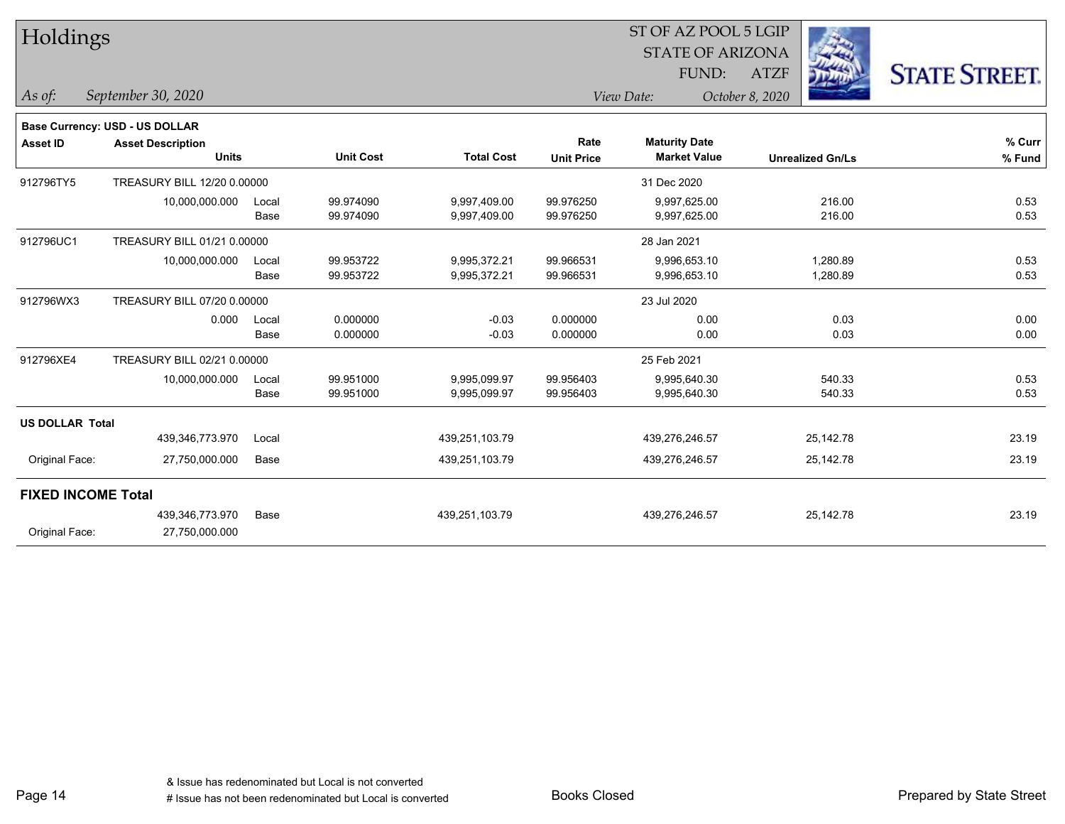| Holdings                  |                                       |       |                  |                   |                   | 51 OF AZ POOL 5 LGIP    |                         |                      |
|---------------------------|---------------------------------------|-------|------------------|-------------------|-------------------|-------------------------|-------------------------|----------------------|
|                           |                                       |       |                  |                   |                   | <b>STATE OF ARIZONA</b> |                         |                      |
|                           |                                       |       |                  |                   |                   | FUND:                   | <b>ATZF</b>             | <b>STATE STREET.</b> |
| As of:                    | September 30, 2020                    |       |                  |                   |                   | View Date:              | October 8, 2020         |                      |
|                           | <b>Base Currency: USD - US DOLLAR</b> |       |                  |                   |                   |                         |                         |                      |
| <b>Asset ID</b>           | <b>Asset Description</b>              |       |                  |                   | Rate              | <b>Maturity Date</b>    |                         | % Curr               |
|                           | <b>Units</b>                          |       | <b>Unit Cost</b> | <b>Total Cost</b> | <b>Unit Price</b> | <b>Market Value</b>     | <b>Unrealized Gn/Ls</b> | % Fund               |
| 912796TY5                 | TREASURY BILL 12/20 0.00000           |       |                  |                   |                   | 31 Dec 2020             |                         |                      |
|                           | 10,000,000.000                        | Local | 99.974090        | 9,997,409.00      | 99.976250         | 9,997,625.00            | 216.00                  | 0.53                 |
|                           |                                       | Base  | 99.974090        | 9,997,409.00      | 99.976250         | 9,997,625.00            | 216.00                  | 0.53                 |
| 912796UC1                 | TREASURY BILL 01/21 0.00000           |       |                  |                   |                   | 28 Jan 2021             |                         |                      |
|                           | 10,000,000.000                        | Local | 99.953722        | 9,995,372.21      | 99.966531         | 9,996,653.10            | 1,280.89                | 0.53                 |
|                           |                                       | Base  | 99.953722        | 9,995,372.21      | 99.966531         | 9,996,653.10            | 1,280.89                | 0.53                 |
| 912796WX3                 | TREASURY BILL 07/20 0.00000           |       |                  |                   |                   | 23 Jul 2020             |                         |                      |
|                           | 0.000                                 | Local | 0.000000         | $-0.03$           | 0.000000          | 0.00                    | 0.03                    | 0.00                 |
|                           |                                       | Base  | 0.000000         | $-0.03$           | 0.000000          | 0.00                    | 0.03                    | 0.00                 |
| 912796XE4                 | TREASURY BILL 02/21 0.00000           |       |                  |                   |                   | 25 Feb 2021             |                         |                      |
|                           | 10,000,000.000                        | Local | 99.951000        | 9,995,099.97      | 99.956403         | 9,995,640.30            | 540.33                  | 0.53                 |
|                           |                                       | Base  | 99.951000        | 9,995,099.97      | 99.956403         | 9,995,640.30            | 540.33                  | 0.53                 |
| <b>US DOLLAR Total</b>    |                                       |       |                  |                   |                   |                         |                         |                      |
|                           | 439,346,773.970                       | Local |                  | 439,251,103.79    |                   | 439,276,246.57          | 25,142.78               | 23.19                |
| Original Face:            | 27,750,000.000                        | Base  |                  | 439,251,103.79    |                   | 439,276,246.57          | 25,142.78               | 23.19                |
| <b>FIXED INCOME Total</b> |                                       |       |                  |                   |                   |                         |                         |                      |
|                           | 439,346,773.970                       | Base  |                  | 439,251,103.79    |                   | 439,276,246.57          | 25,142.78               | 23.19                |
| Original Face:            | 27,750,000.000                        |       |                  |                   |                   |                         |                         |                      |
|                           |                                       |       |                  |                   |                   |                         |                         |                      |

 $ST$  OF AZ POOL 5 LGIP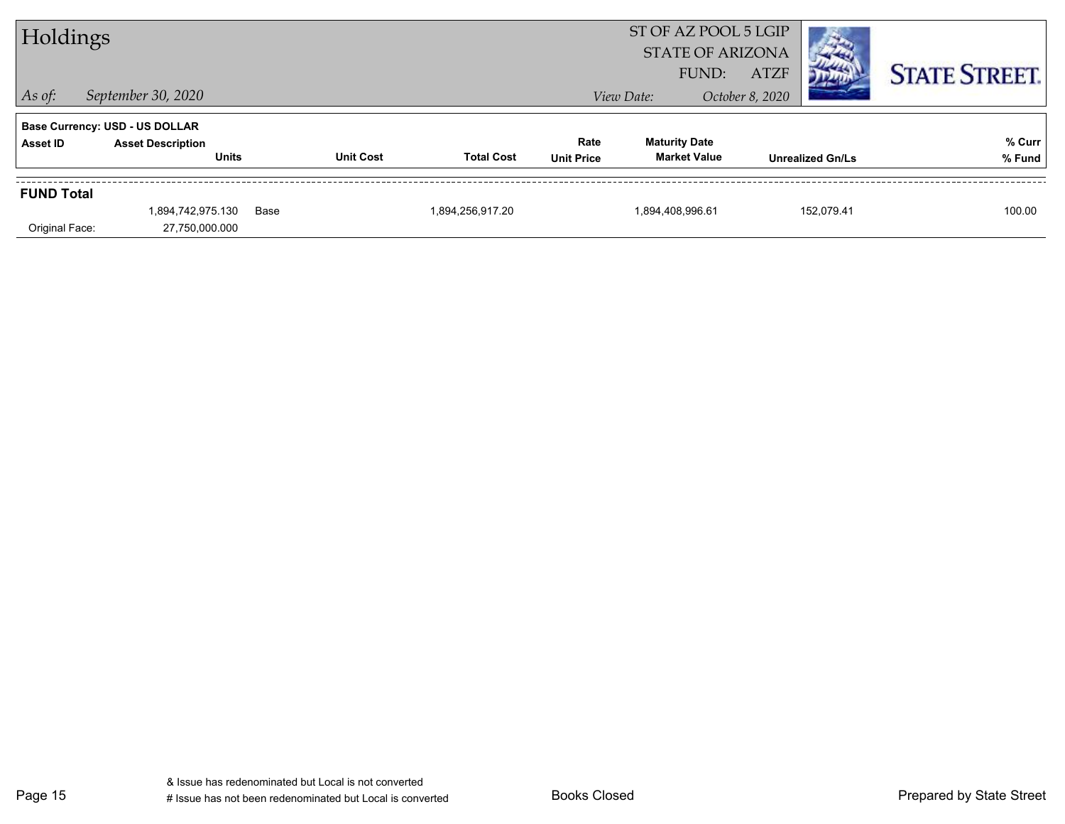| Holdings          |                                          |      |                  |                   |                           | ST OF AZ POOL 5 LGIP<br><b>STATE OF ARIZONA</b> |                                |                         |                      |
|-------------------|------------------------------------------|------|------------------|-------------------|---------------------------|-------------------------------------------------|--------------------------------|-------------------------|----------------------|
| $ $ As of:        | September 30, 2020                       |      |                  |                   |                           | FUND:<br>View Date:                             | <b>ATZF</b><br>October 8, 2020 |                         | <b>STATE STREET.</b> |
|                   | <b>Base Currency: USD - US DOLLAR</b>    |      |                  |                   |                           |                                                 |                                |                         |                      |
| Asset ID          | <b>Asset Description</b><br><b>Units</b> |      | <b>Unit Cost</b> | <b>Total Cost</b> | Rate<br><b>Unit Price</b> | <b>Maturity Date</b><br><b>Market Value</b>     |                                | <b>Unrealized Gn/Ls</b> | % Curr<br>% Fund     |
| <b>FUND Total</b> |                                          |      |                  |                   |                           |                                                 |                                |                         |                      |
| Original Face:    | 1,894,742,975.130<br>27,750,000.000      | Base |                  | 1,894,256,917.20  |                           | 1,894,408,996.61                                |                                | 152.079.41              | 100.00               |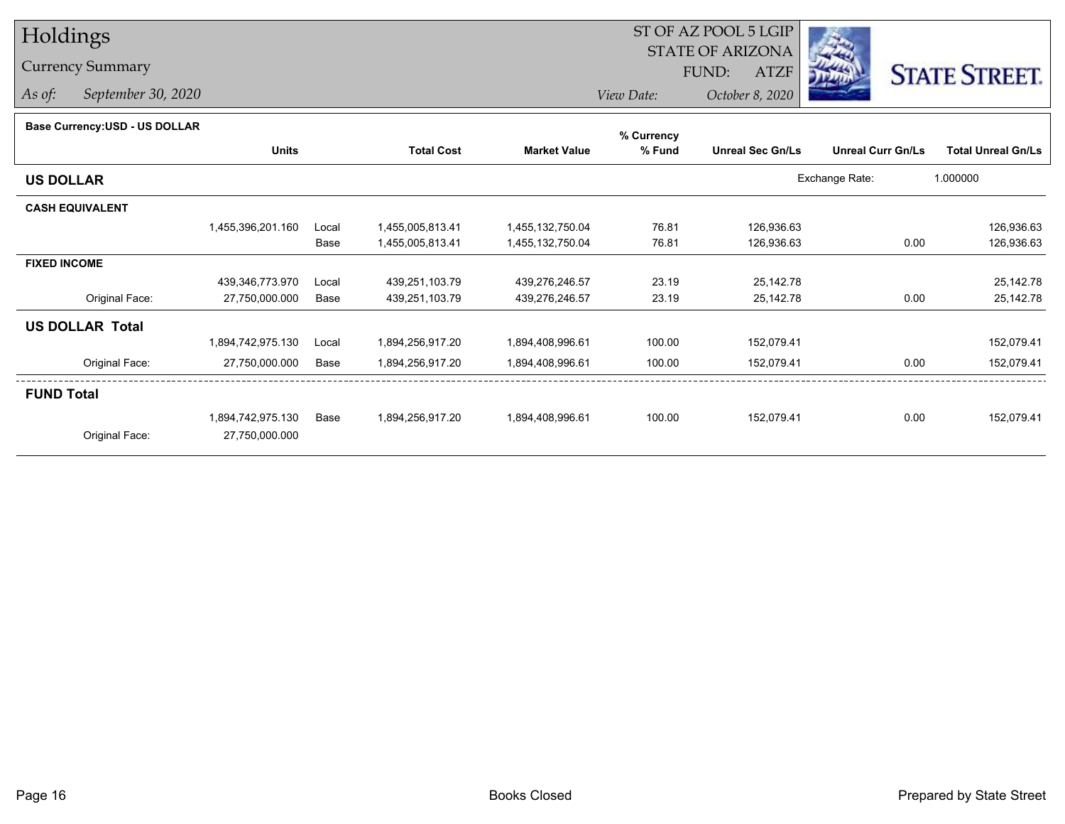## Holdings

## Currency Summary

*As of: September 30, 2020*

## ST OF AZ POOL 5 LGIP STATE OF ARIZONAATZF FUND:



*View Date:October 8, 2020*

| Base Currency: USD - US DOLLAR |  |
|--------------------------------|--|
|                                |  |

| Base Currency:USD - US DOLLAR |                   |       |                   |                     | % Currency |                         |                          |                           |
|-------------------------------|-------------------|-------|-------------------|---------------------|------------|-------------------------|--------------------------|---------------------------|
|                               | <b>Units</b>      |       | <b>Total Cost</b> | <b>Market Value</b> | % Fund     | <b>Unreal Sec Gn/Ls</b> | <b>Unreal Curr Gn/Ls</b> | <b>Total Unreal Gn/Ls</b> |
| <b>US DOLLAR</b>              |                   |       |                   |                     |            |                         | Exchange Rate:           | 1.000000                  |
| <b>CASH EQUIVALENT</b>        |                   |       |                   |                     |            |                         |                          |                           |
|                               | 1,455,396,201.160 | Local | 1,455,005,813.41  | 1,455,132,750.04    | 76.81      | 126,936.63              |                          | 126,936.63                |
|                               |                   | Base  | 1,455,005,813.41  | 1,455,132,750.04    | 76.81      | 126,936.63              | 0.00                     | 126,936.63                |
| <b>FIXED INCOME</b>           |                   |       |                   |                     |            |                         |                          |                           |
|                               | 439,346,773.970   | Local | 439,251,103.79    | 439,276,246.57      | 23.19      | 25,142.78               |                          | 25,142.78                 |
| Original Face:                | 27,750,000.000    | Base  | 439,251,103.79    | 439,276,246.57      | 23.19      | 25,142.78               | 0.00                     | 25,142.78                 |
| <b>US DOLLAR Total</b>        |                   |       |                   |                     |            |                         |                          |                           |
|                               | 1,894,742,975.130 | Local | 1,894,256,917.20  | 1,894,408,996.61    | 100.00     | 152,079.41              |                          | 152,079.41                |
| Original Face:                | 27,750,000.000    | Base  | 1,894,256,917.20  | 1,894,408,996.61    | 100.00     | 152,079.41              | 0.00                     | 152,079.41                |
| <b>FUND Total</b>             |                   |       |                   |                     |            |                         |                          |                           |
|                               | 1,894,742,975.130 | Base  | 1,894,256,917.20  | 1,894,408,996.61    | 100.00     | 152,079.41              | 0.00                     | 152,079.41                |
| Original Face:                | 27,750,000.000    |       |                   |                     |            |                         |                          |                           |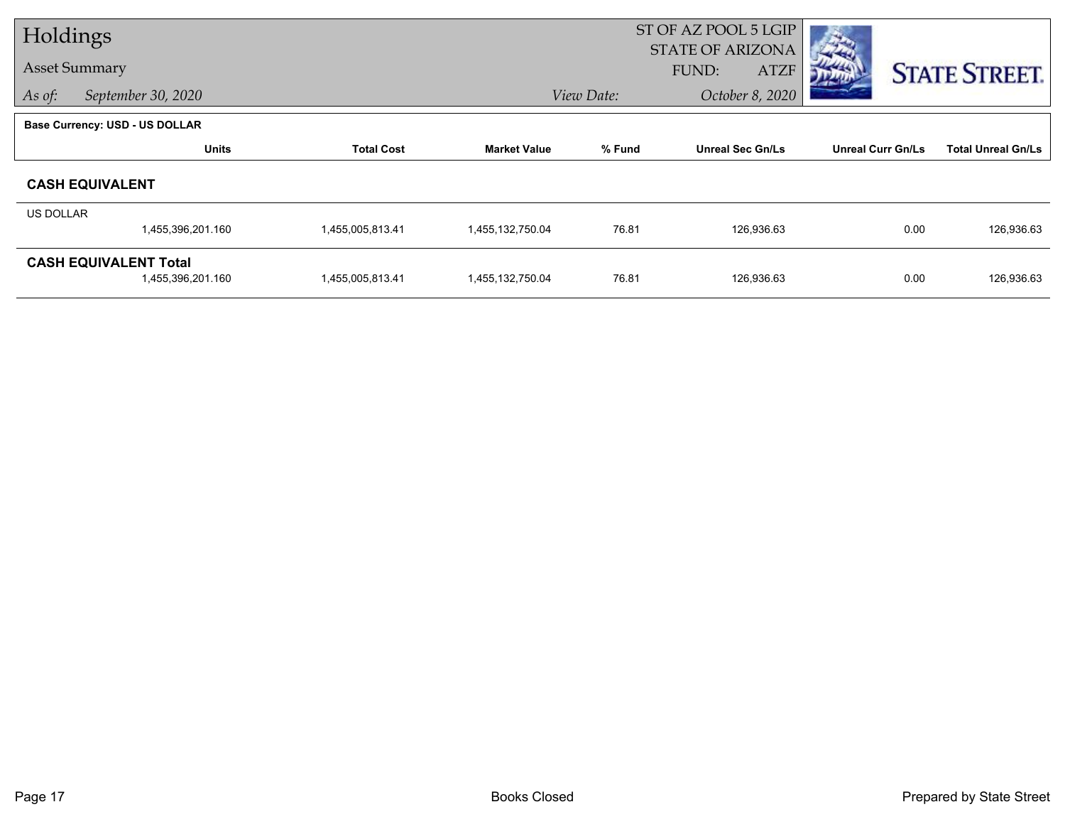| Holdings         |                                                   |                   |                     |            | ST OF AZ POOL 5 LGIP<br><b>STATE OF ARIZONA</b> |                          |                           |
|------------------|---------------------------------------------------|-------------------|---------------------|------------|-------------------------------------------------|--------------------------|---------------------------|
|                  | <b>Asset Summary</b>                              |                   |                     |            | <b>ATZF</b><br>FUND:                            |                          | <b>STATE STREET.</b>      |
| As of:           | September 30, 2020                                |                   |                     | View Date: | October 8, 2020                                 |                          |                           |
|                  | <b>Base Currency: USD - US DOLLAR</b>             |                   |                     |            |                                                 |                          |                           |
|                  | <b>Units</b>                                      | <b>Total Cost</b> | <b>Market Value</b> | % Fund     | <b>Unreal Sec Gn/Ls</b>                         | <b>Unreal Curr Gn/Ls</b> | <b>Total Unreal Gn/Ls</b> |
|                  | <b>CASH EQUIVALENT</b>                            |                   |                     |            |                                                 |                          |                           |
| <b>US DOLLAR</b> | 1,455,396,201.160                                 | 1,455,005,813.41  | 1,455,132,750.04    | 76.81      | 126,936.63                                      | 0.00                     | 126,936.63                |
|                  |                                                   |                   |                     |            |                                                 |                          |                           |
|                  | <b>CASH EQUIVALENT Total</b><br>1,455,396,201.160 | 1,455,005,813.41  | 1,455,132,750.04    | 76.81      | 126,936.63                                      | 0.00                     | 126,936.63                |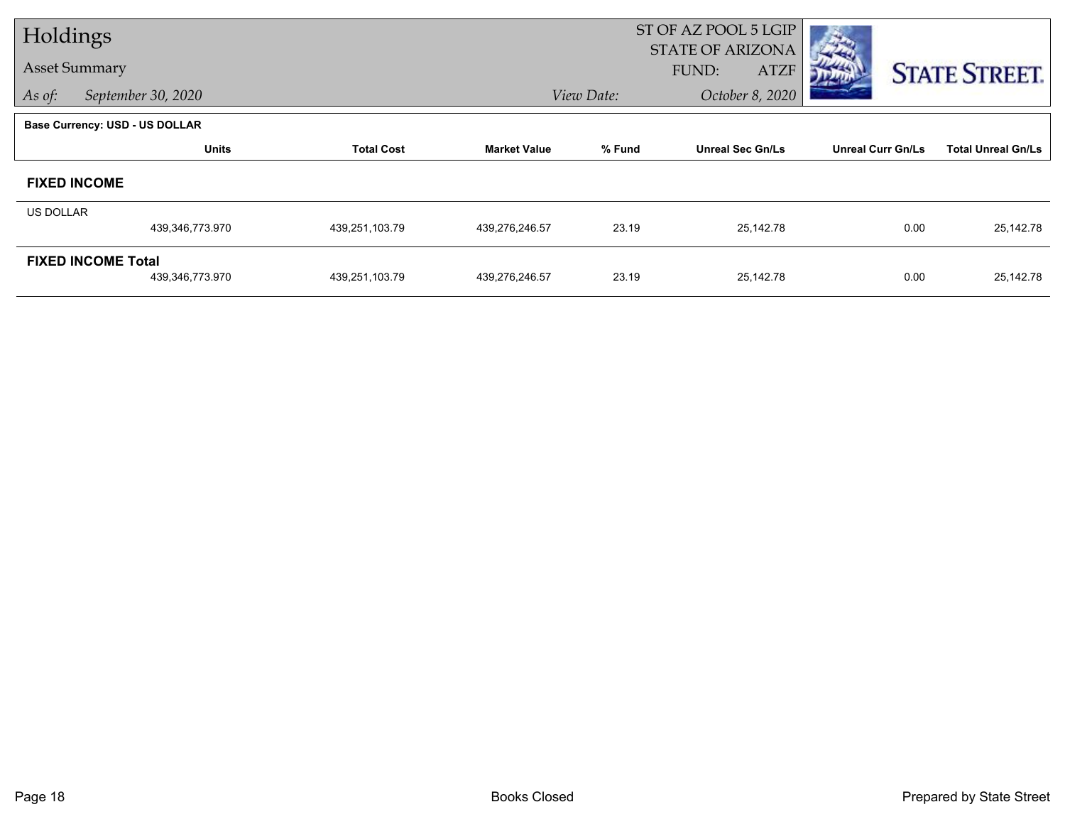| Holdings  |                                              |                   |                     |            | ST OF AZ POOL 5 LGIP                                   |                          |                           |
|-----------|----------------------------------------------|-------------------|---------------------|------------|--------------------------------------------------------|--------------------------|---------------------------|
|           | <b>Asset Summary</b>                         |                   |                     |            | <b>STATE OF ARIZONA</b><br><b>FUND:</b><br><b>ATZF</b> |                          | <b>STATE STREET.</b>      |
| As of:    | September 30, 2020                           |                   |                     | View Date: | October 8, 2020                                        |                          |                           |
|           | Base Currency: USD - US DOLLAR               |                   |                     |            |                                                        |                          |                           |
|           | <b>Units</b>                                 | <b>Total Cost</b> | <b>Market Value</b> | % Fund     | <b>Unreal Sec Gn/Ls</b>                                | <b>Unreal Curr Gn/Ls</b> | <b>Total Unreal Gn/Ls</b> |
|           | <b>FIXED INCOME</b>                          |                   |                     |            |                                                        |                          |                           |
| US DOLLAR |                                              |                   |                     |            |                                                        |                          |                           |
|           | 439,346,773.970                              | 439,251,103.79    | 439,276,246.57      | 23.19      | 25,142.78                                              | 0.00                     | 25,142.78                 |
|           | <b>FIXED INCOME Total</b><br>439,346,773.970 | 439,251,103.79    | 439,276,246.57      | 23.19      | 25,142.78                                              | 0.00                     | 25,142.78                 |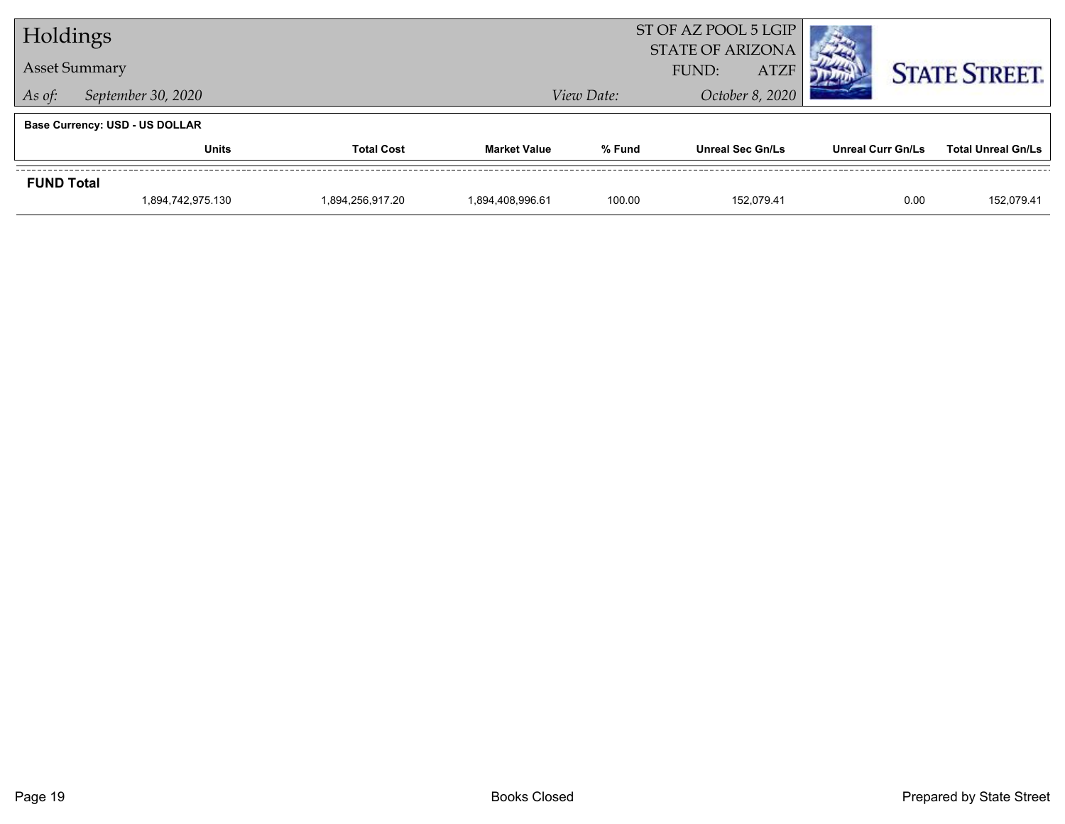| Holdings          |                                       |                   |                     |            | ST OF AZ POOL 5 LGIP<br><b>STATE OF ARIZONA</b> |                          |                           |
|-------------------|---------------------------------------|-------------------|---------------------|------------|-------------------------------------------------|--------------------------|---------------------------|
|                   | <b>Asset Summary</b>                  |                   |                     |            | <b>ATZF</b><br>FUND:                            |                          | <b>STATE STREET.</b>      |
| As of:            | September 30, 2020                    |                   |                     | View Date: | October 8, 2020                                 |                          |                           |
|                   | <b>Base Currency: USD - US DOLLAR</b> |                   |                     |            |                                                 |                          |                           |
|                   | <b>Units</b>                          | <b>Total Cost</b> | <b>Market Value</b> | % Fund     | <b>Unreal Sec Gn/Ls</b>                         | <b>Unreal Curr Gn/Ls</b> | <b>Total Unreal Gn/Ls</b> |
| <b>FUND Total</b> |                                       |                   |                     |            |                                                 |                          |                           |
|                   | 1,894,742,975.130                     | 1.894.256.917.20  | 1.894.408.996.61    | 100.00     | 152.079.41                                      | 0.00                     | 152,079.41                |